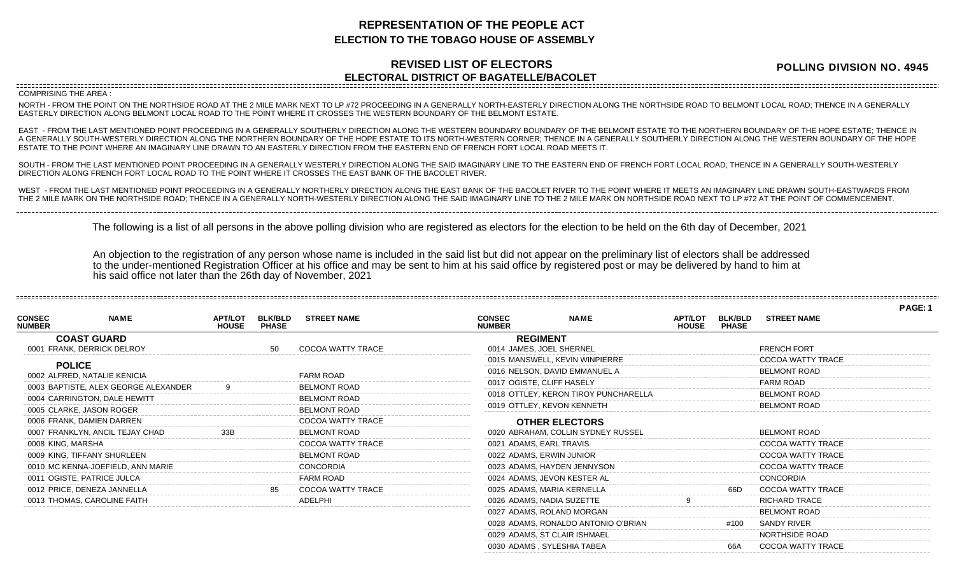## **REPRESENTATION OF THE PEOPLE ACT ELECTION TO THE TOBAGO HOUSE OF ASSEMBLY**

## **REVISED LIST OF ELECTORS ELECTORAL DISTRICT OF BAGATELLE/BACOLET**

**POLLING DIVISION NO. 4945**

COMPRISING THE AREA :

NORTH - FROM THE POINT ON THE NORTHSIDE ROAD AT THE 2 MILE MARK NEXT TO LP #72 PROCEEDING IN A GENERALLY NORTH-EASTERLY DIRECTION ALONG THE NORTHSIDE ROAD TO BELMONT LOCAL ROAD; THENCE IN A GENERALLY EASTERLY DIRECTION ALONG BELMONT LOCAL ROAD TO THE POINT WHERE IT CROSSES THE WESTERN BOUNDARY OF THE BELMONT ESTATE.

EAST - FROM THE LAST MENTIONED POINT PROCEEDING IN A GENERALLY SOUTHERLY DIRECTION ALONG THE WESTERN BOUNDARY BOUNDARY OF THE BELMONT ESTATE TO THE NORTHERN BOUNDARY OF THE HOPE ESTATE; THENCE IN A GENERALLY SOUTH-WESTERLY DIRECTION ALONG THE NORTHERN BOUNDARY OF THE HOPE ESTATE TO ITS NORTH-WESTERN CORNER; THENCE IN A GENERALLY SOUTHERLY DIRECTION ALONG THE WESTERN BOUNDARY OF THE HOPE ESTATE TO THE POINT WHERE AN IMAGINARY LINE DRAWN TO AN EASTERLY DIRECTION FROM THE EASTERN END OF FRENCH FORT LOCAL ROAD MEETS IT.

SOUTH - FROM THE LAST MENTIONED POINT PROCEEDING IN A GENERALLY WESTERLY DIRECTION ALONG THE SAID IMAGINARY LINE TO THE EASTERN END OF FRENCH FORT LOCAL ROAD; THENCE IN A GENERALLY SOUTH-WESTERLY DIRECTION ALONG FRENCH FORT LOCAL ROAD TO THE POINT WHERE IT CROSSES THE EAST BANK OF THE BACOLET RIVER.

WEST - FROM THE LAST MENTIONED POINT PROCEEDING IN A GENERALLY NORTHERLY DIRECTION ALONG THE EAST BANK OF THE BACOLET RIVER TO THE POINT WHERE IT MEETS AN IMAGINARY LINE DRAWN SOUTH-EASTWARDS FROM THE 2 MILE MARK ON THE NORTHSIDE ROAD; THENCE IN A GENERALLY NORTH-WESTERLY DIRECTION ALONG THE SAID IMAGINARY LINE TO THE 2 MILE MARK ON NORTHSIDE ROAD NEXT TO LP #72 AT THE POINT OF COMMENCEMENT.

The following is a list of all persons in the above polling division who are registered as electors for the election to be held on the 6th day of December, 2021

An objection to the registration of any person whose name is included in the said list but did not appear on the preliminary list of electors shall be addressed to the under-mentioned Registration Officer at his office and may be sent to him at his said office by registered post or may be delivered by hand to him at his said office not later than the 26th day of November, 2021

**PAGE: 1 NAME APT/LOT BLK/BLD STREET NAME HOUSE CONSEC NUMBER COAST GUARD** 0001 FRANK, DERRICK DELROY 60001 FRANK, DERRICK DELROY **POLICE** 0002 ALFRED, NATALIE KENICIA FARM ROAD 0003 BAPTISTE, ALEX GEORGE ALEXANDER 9 BELMONT ROAD 0004 CARRINGTON, DALE HEWITT **EXAMPLE A SECOND TRANSPORT BELMONT ROAD** 0005 CLARKE, JASON ROGER BELMONT ROAD 0006 FRANK, DAMIEN DARREN COCOA WATTY TRACE 0007 FRANKLYN, ANCIL TEJAY CHAD 33B BELMONT ROAD 0008 KING, MARSHA COCOA WATTY TRACE 0009 KING, TIFFANY SHURLEEN BELMONT ROAD 0010 MC KENNA-JOEFIELD, ANN MARIE CONCORDIA 0011 OGISTE, PATRICE JULCA FARM ROAD 0012 PRICE, DENEZA JANNELLA 85 COCOA WATTY TRACE 0013 THOMAS, CAROLINE FAITH ADELPHI **NAME APT/LOT BLK/BLD STREET NAME HOUSE CONSEC NUMBER REGIMENT** 0014 JAMES, JOEL SHERNEL **FRENCH FORT SERVICE SHERNEL** 0015 MANSWELL, KEVIN WINPIERRE **COCOA WATTY TRACE** 0016 NELSON, DAVID EMMANUEL A BELMONT ROAD 0017 OGISTE, CLIFF HASELY **FARM ROAD** 0018 OTTLEY, KERON TIROY PUNCHARELLA BELMONT ROAD 0019 OTTLEY, KEVON KENNETH BELMONT ROAD **OTHER ELECTORS** 0020 ABRAHAM, COLLIN SYDNEY RUSSEL BELMONT ROAD 0021 ADAMS, EARL TRAVIS COCOA WATTY TRACE 0022 ADAMS, ERWIN JUNIOR COCOA WATTY TRACE 0023 ADAMS, HAYDEN JENNYSON COCOA WATTY TRACE 0024 ADAMS, JEVON KESTER AL CONCORDIA 0025 ADAMS, MARIA KERNELLA 66D COCOA WATTY TRACE 0026 ADAMS, NADIA SUZETTE  $\qquad \qquad 9 \qquad \qquad$ RICHARD TRACE 0027 ADAMS, ROLAND MORGAN BELMONT ROAD

> 0028 ADAMS, RONALDO ANTONIO O'BRIAN #100 SANDY RIVER 0029 ADAMS, ST CLAIR ISHMAEL NORTHSIDE ROAD 0030 ADAMS , SYLESHIA TABEA 66A COCOA WATTY TRACE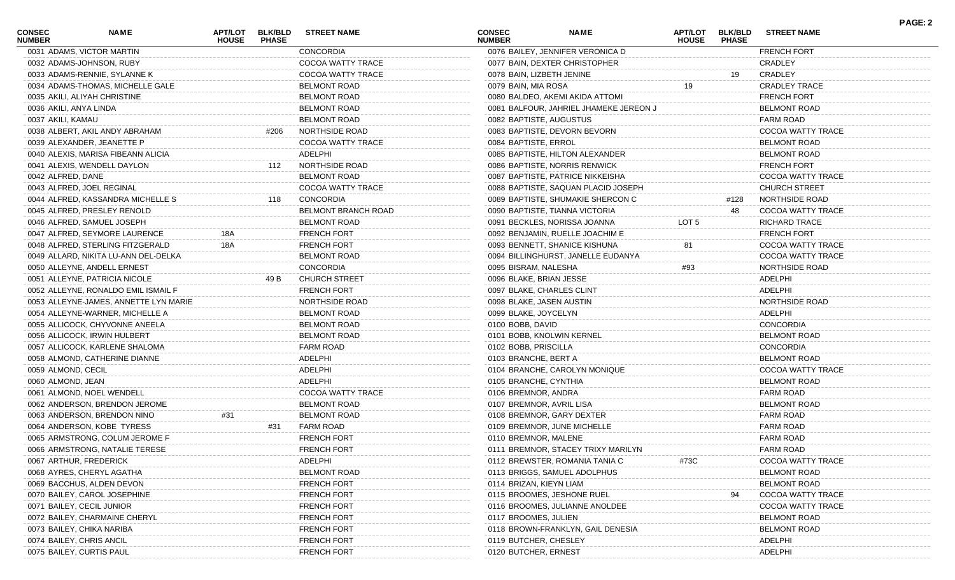| <b>CONSEC</b><br><b>NUMBER</b> | <b>NAME</b>                           | APT/LOT<br><b>HOUSE</b> | <b>BLK/BLD</b><br><b>PHASE</b> | <b>STREET NAME</b>         | CONSEC<br><b>NUMBER</b>   | <b>NAME</b>                            | <b>APT/LOT</b><br><b>HOUSE</b> | <b>BLK/BLD</b><br><b>PHASE</b> | <b>STREET NAME</b>       | <b>PAGE: 2</b> |
|--------------------------------|---------------------------------------|-------------------------|--------------------------------|----------------------------|---------------------------|----------------------------------------|--------------------------------|--------------------------------|--------------------------|----------------|
|                                | 0031 ADAMS, VICTOR MARTIN             |                         |                                | CONCORDIA                  |                           | 0076 BAILEY, JENNIFER VERONICA D       |                                |                                | <b>FRENCH FORT</b>       |                |
|                                | 0032 ADAMS-JOHNSON, RUBY              |                         |                                | COCOA WATTY TRACE          |                           | 0077 BAIN, DEXTER CHRISTOPHER          |                                |                                | CRADLEY                  |                |
|                                | 0033 ADAMS-RENNIE, SYLANNE K          |                         |                                | COCOA WATTY TRACE          | 0078 BAIN, LIZBETH JENINE |                                        |                                | 19                             | CRADLEY                  |                |
|                                | 0034 ADAMS-THOMAS, MICHELLE GALE      |                         |                                | <b>BELMONT ROAD</b>        | 0079 BAIN, MIA ROSA       |                                        |                                |                                | <b>CRADLEY TRACE</b>     |                |
|                                | 0035 AKILI, ALIYAH CHRISTINE          |                         |                                | <b>BELMONT ROAD</b>        |                           | 0080 BALDEO, AKEMI AKIDA ATTOMI        |                                |                                | <b>FRENCH FORT</b>       |                |
| 0036 AKILI, ANYA LINDA         |                                       |                         |                                | <b>BELMONT ROAD</b>        |                           | 0081 BALFOUR, JAHRIEL JHAMEKE JEREON J |                                |                                | <b>BELMONT ROAD</b>      |                |
| 0037 AKILI, KAMAU              |                                       |                         |                                | <b>BELMONT ROAD</b>        | 0082 BAPTISTE, AUGUSTUS   |                                        |                                |                                | <b>FARM ROAD</b>         |                |
|                                | 0038 ALBERT, AKIL ANDY ABRAHAM        |                         | #206                           | NORTHSIDE ROAD             |                           | 0083 BAPTISTE, DEVORN BEVORN           |                                |                                | COCOA WATTY TRACE        |                |
|                                | 0039 ALEXANDER, JEANETTE P            |                         |                                | COCOA WATTY TRACE          | 0084 BAPTISTE, ERROL      |                                        |                                |                                | <b>BELMONT ROAD</b>      |                |
|                                | 0040 ALEXIS, MARISA FIBEANN ALICIA    |                         |                                | ADELPHI                    |                           | 0085 BAPTISTE, HILTON ALEXANDER        |                                |                                | <b>BELMONT ROAD</b>      |                |
|                                | 0041 ALEXIS, WENDELL DAYLON           |                         | 112                            | NORTHSIDE ROAD             |                           | 0086 BAPTISTE, NORRIS RENWICK          |                                |                                | <b>FRENCH FORT</b>       |                |
| 0042 ALFRED, DANE              |                                       |                         |                                | <b>BELMONT ROAD</b>        |                           | 0087 BAPTISTE, PATRICE NIKKEISHA       |                                |                                | COCOA WATTY TRACE        |                |
|                                | 0043 ALFRED, JOEL REGINAL             |                         |                                | COCOA WATTY TRACE          |                           | 0088 BAPTISTE, SAQUAN PLACID JOSEPH    |                                |                                | <b>CHURCH STREET</b>     |                |
|                                | 0044 ALFRED, KASSANDRA MICHELLE S     |                         | 118                            | CONCORDIA                  |                           | 0089 BAPTISTE, SHUMAKIE SHERCON C      |                                | #128                           | NORTHSIDE ROAD           |                |
|                                | 0045 ALFRED, PRESLEY RENOLD           |                         |                                | <b>BELMONT BRANCH ROAD</b> |                           | 0090 BAPTISTE, TIANNA VICTORIA         |                                | 48                             | COCOA WATTY TRACE        |                |
|                                | 0046 ALFRED, SAMUEL JOSEPH            |                         |                                | <b>BELMONT ROAD</b>        |                           | 0091 BECKLES, NORISSA JOANNA           | LOT 5                          |                                | <b>RICHARD TRACE</b>     |                |
|                                | 0047 ALFRED, SEYMORE LAURENCE         | 18A                     |                                | <b>FRENCH FORT</b>         |                           | 0092 BENJAMIN, RUELLE JOACHIM E        |                                |                                | <b>FRENCH FORT</b>       |                |
|                                | 0048 ALFRED, STERLING FITZGERALD      | 18A                     |                                | <b>FRENCH FORT</b>         |                           | 0093 BENNETT, SHANICE KISHUNA          | 81                             |                                | COCOA WATTY TRACE        |                |
|                                | 0049 ALLARD, NIKITA LU-ANN DEL-DELKA  |                         |                                | <b>BELMONT ROAD</b>        |                           | 0094 BILLINGHURST, JANELLE EUDANYA     |                                |                                | COCOA WATTY TRACE        |                |
|                                | 0050 ALLEYNE, ANDELL ERNEST           |                         |                                | <b>CONCORDIA</b>           | 0095 BISRAM, NALESHA      |                                        | #93                            |                                | NORTHSIDE ROAD           |                |
|                                | 0051 ALLEYNE, PATRICIA NICOLE         |                         | 49 B                           | <b>CHURCH STREET</b>       | 0096 BLAKE, BRIAN JESSE   |                                        |                                |                                | ADELPHI                  |                |
|                                | 0052 ALLEYNE, RONALDO EMIL ISMAIL F   |                         |                                | <b>FRENCH FORT</b>         | 0097 BLAKE, CHARLES CLINT |                                        |                                |                                | ADELPHI                  |                |
|                                | 0053 ALLEYNE-JAMES, ANNETTE LYN MARIE |                         |                                | NORTHSIDE ROAD             | 0098 BLAKE, JASEN AUSTIN  |                                        |                                |                                | NORTHSIDE ROAD           |                |
|                                | 0054 ALLEYNE-WARNER, MICHELLE A       |                         |                                | <b>BELMONT ROAD</b>        | 0099 BLAKE, JOYCELYN      |                                        |                                |                                | ADELPHI                  |                |
|                                |                                       |                         |                                |                            |                           |                                        |                                |                                | <b>CONCORDIA</b>         |                |
|                                | 0055 ALLICOCK, CHYVONNE ANEELA        |                         |                                | <b>BELMONT ROAD</b>        | 0100 BOBB, DAVID          |                                        |                                |                                |                          |                |
|                                | 0056 ALLICOCK, IRWIN HULBERT          |                         |                                | <b>BELMONT ROAD</b>        |                           | 0101 BOBB, KNOLWIN KERNEL              |                                |                                | <b>BELMONT ROAD</b>      |                |
|                                | 0057 ALLICOCK, KARLENE SHALOMA        |                         |                                | <b>FARM ROAD</b>           | 0102 BOBB, PRISCILLA      |                                        |                                |                                | <b>CONCORDIA</b>         |                |
|                                | 0058 ALMOND, CATHERINE DIANNE         |                         |                                | <b>ADELPHI</b>             | 0103 BRANCHE, BERT A      |                                        |                                |                                | <b>BELMONT ROAD</b>      |                |
| 0059 ALMOND, CECIL             |                                       |                         |                                | <b>ADELPHI</b>             |                           | 0104 BRANCHE, CAROLYN MONIQUE          |                                |                                | COCOA WATTY TRACE        |                |
| 0060 ALMOND, JEAN              |                                       |                         |                                | <b>ADELPHI</b>             | 0105 BRANCHE, CYNTHIA     |                                        |                                |                                | <b>BELMONT ROAD</b>      |                |
|                                | 0061 ALMOND, NOEL WENDELL             |                         |                                | COCOA WATTY TRACE          | 0106 BREMNOR, ANDRA       |                                        |                                |                                | <b>FARM ROAD</b>         |                |
|                                | 0062 ANDERSON, BRENDON JEROME         |                         |                                | <b>BELMONT ROAD</b>        | 0107 BREMNOR, AVRIL LISA  |                                        |                                |                                | <b>BELMONT ROAD</b>      |                |
|                                | 0063 ANDERSON, BRENDON NINO           | #31                     |                                | <b>BELMONT ROAD</b>        |                           | 0108 BREMNOR, GARY DEXTER              |                                |                                | <b>FARM ROAD</b>         |                |
|                                | 0064 ANDERSON, KOBE TYRESS            |                         | #31                            | FARM ROAD                  |                           | 0109 BREMNOR, JUNE MICHELLE            |                                |                                | <b>FARM ROAD</b>         |                |
|                                | 0065 ARMSTRONG, COLUM JEROME F        |                         |                                | <b>FRENCH FORT</b>         | 0110 BREMNOR, MALENE      |                                        |                                |                                | FARM ROAD                |                |
|                                | 0066 ARMSTRONG, NATALIE TERESE        |                         |                                | <b>FRENCH FORT</b>         |                           | 0111 BREMNOR, STACEY TRIXY MARILYN     |                                |                                | <b>FARM ROAD</b>         |                |
|                                | 0067 ARTHUR, FREDERICK                |                         |                                | ADELPHI                    |                           | 0112 BREWSTER, ROMANIA TANIA C         | #73C                           |                                | COCOA WATTY TRACE        |                |
|                                | 0068 AYRES, CHERYL AGATHA             |                         |                                | <b>BELMONT ROAD</b>        |                           | 0113 BRIGGS, SAMUEL ADOLPHUS           |                                |                                | <b>BELMONT ROAD</b>      |                |
|                                | 0069 BACCHUS, ALDEN DEVON             |                         |                                | <b>FRENCH FORT</b>         | 0114 BRIZAN, KIEYN LIAM   |                                        |                                |                                | <b>BELMONT ROAD</b>      |                |
|                                | 0070 BAILEY, CAROL JOSEPHINE          |                         |                                | <b>FRENCH FORT</b>         |                           | 0115 BROOMES, JESHONE RUEL             |                                | 94                             | <b>COCOA WATTY TRACE</b> |                |
|                                | 0071 BAILEY, CECIL JUNIOR             |                         |                                | <b>FRENCH FORT</b>         |                           | 0116 BROOMES, JULIANNE ANOLDEE         |                                |                                | COCOA WATTY TRACE        |                |
|                                | 0072 BAILEY, CHARMAINE CHERYL         |                         |                                | <b>FRENCH FORT</b>         | 0117 BROOMES, JULIEN      |                                        |                                |                                | <b>BELMONT ROAD</b>      |                |
|                                | 0073 BAILEY, CHIKA NARIBA             |                         |                                | <b>FRENCH FORT</b>         |                           | 0118 BROWN-FRANKLYN, GAIL DENESI.      |                                |                                | <b>BELMONT ROAD</b>      |                |
|                                | 0074 BAILEY, CHRIS ANCIL              |                         |                                | <b>FRENCH FORT</b>         | 0119 BUTCHER, CHESLEY     |                                        |                                |                                | ADELPHI                  |                |
|                                | 0075 BAILEY, CURTIS PAUL              |                         |                                | <b>FRENCH FORT</b>         | 0120 BUTCHER, ERNEST      |                                        |                                |                                | ADELPHI                  |                |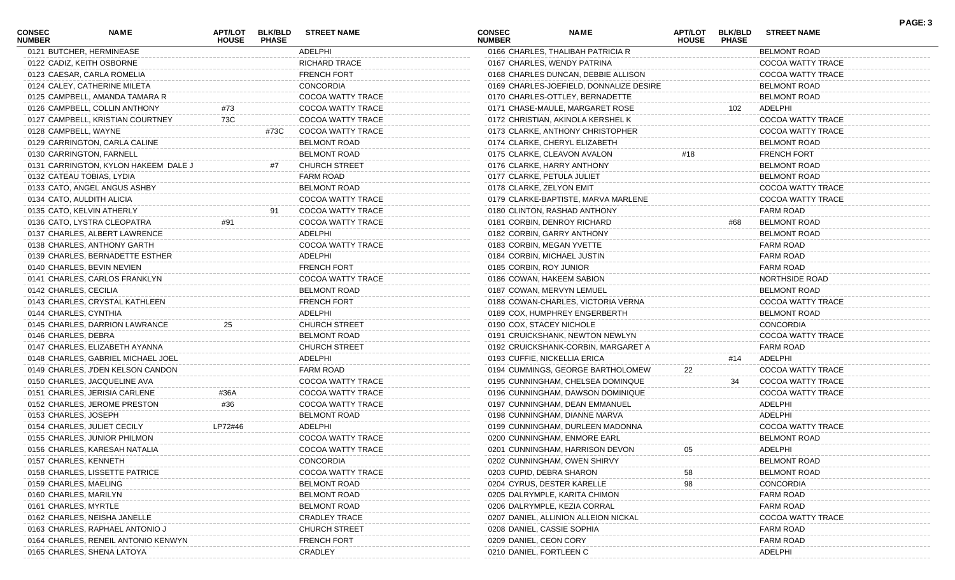| <b>CONSEC</b><br><b>NUMBER</b> | <b>NAME</b>                          | <b>HOUSE</b> | <b>PHASE</b> | APT/LOT BLK/BLD STREET NAME | <b>CONSEC</b><br><b>NUMBER</b> | <b>NAME</b>                             | <b>HOUSE</b> | <b>PHASE</b> | APT/LOT BLK/BLD STREET NAME | . AVL. V |
|--------------------------------|--------------------------------------|--------------|--------------|-----------------------------|--------------------------------|-----------------------------------------|--------------|--------------|-----------------------------|----------|
|                                | 0121 BUTCHER, HERMINEASE             |              |              | ADELPHI                     |                                | 0166 CHARLES, THALIBAH PATRICIA R       |              |              | <b>BELMONT ROAD</b>         |          |
|                                | 0122 CADIZ, KEITH OSBORNE            |              |              | <b>RICHARD TRACE</b>        |                                | 0167 CHARLES, WENDY PATRINA             |              |              | COCOA WATTY TRACE           |          |
|                                | 0123 CAESAR, CARLA ROMELIA           |              |              | <b>FRENCH FORT</b>          |                                | 0168 CHARLES DUNCAN, DEBBIE ALLISON     |              |              | COCOA WATTY TRACE           |          |
|                                | 0124 CALEY, CATHERINE MILETA         |              |              | <b>CONCORDIA</b>            |                                | 0169 CHARLES-JOEFIELD, DONNALIZE DESIRE |              |              | <b>BELMONT ROAD</b>         |          |
|                                | 0125 CAMPBELL, AMANDA TAMARA R       |              |              | COCOA WATTY TRACE           |                                | 0170 CHARLES-OTTLEY, BERNADETTE         |              |              | <b>BELMONT ROAD</b>         |          |
|                                | 0126 CAMPBELL, COLLIN ANTHONY        | #73          |              | COCOA WATTY TRACE           |                                | 0171 CHASE-MAULE, MARGARET ROSE         |              | 102          | ADELPHI                     |          |
|                                | 0127 CAMPBELL, KRISTIAN COURTNEY     | 73C          |              | COCOA WATTY TRACE           |                                | 0172 CHRISTIAN, AKINOLA KERSHEL K       |              |              | <b>COCOA WATTY TRACE</b>    |          |
|                                | 0128 CAMPBELL, WAYNE                 |              | #73C         | COCOA WATTY TRACE           |                                | 0173 CLARKE, ANTHONY CHRISTOPHER        |              |              | COCOA WATTY TRACE           |          |
|                                | 0129 CARRINGTON, CARLA CALINE        |              |              | <b>BELMONT ROAD</b>         |                                | 0174 CLARKE, CHERYL ELIZABETH           |              |              | <b>BELMONT ROAD</b>         |          |
|                                | 0130 CARRINGTON, FARNELL             |              |              | <b>BELMONT ROAD</b>         |                                | 0175 CLARKE, CLEAVON AVALON             | #18          |              | <b>FRENCH FORT</b>          |          |
|                                | 0131 CARRINGTON, KYLON HAKEEM DALE J |              | #7           | <b>CHURCH STREET</b>        |                                | 0176 CLARKE, HARRY ANTHONY              |              |              | <b>BELMONT ROAD</b>         |          |
|                                | 0132 CATEAU TOBIAS, LYDIA            |              |              | <b>FARM ROAD</b>            |                                | 0177 CLARKE, PETULA JULIET              |              |              | <b>BELMONT ROAD</b>         |          |
|                                | 0133 CATO, ANGEL ANGUS ASHBY         |              |              | <b>BELMONT ROAD</b>         |                                | 0178 CLARKE, ZELYON EMIT                |              |              | COCOA WATTY TRACE           |          |
|                                | 0134 CATO, AULDITH ALICIA            |              |              | <b>COCOA WATTY TRACE</b>    |                                | 0179 CLARKE-BAPTISTE, MARVA MARLENE     |              |              | COCOA WATTY TRACE           |          |
|                                | 0135 CATO, KELVIN ATHERLY            |              | 91           | COCOA WATTY TRACE           |                                | 0180 CLINTON, RASHAD ANTHONY            |              |              | <b>FARM ROAD</b>            |          |
|                                | 0136 CATO, LYSTRA CLEOPATRA          | #91          |              | COCOA WATTY TRACE           |                                | 0181 CORBIN, DENROY RICHARD             |              | #68          | <b>BELMONT ROAD</b>         |          |
|                                | 0137 CHARLES, ALBERT LAWRENCE        |              |              | ADELPHI                     |                                | 0182 CORBIN, GARRY ANTHONY              |              |              | <b>BELMONT ROAD</b>         |          |
|                                | 0138 CHARLES, ANTHONY GARTH          |              |              | COCOA WATTY TRACE           |                                | 0183 CORBIN, MEGAN YVETTE               |              |              | <b>FARM ROAD</b>            |          |
|                                | 0139 CHARLES, BERNADETTE ESTHER      |              |              | ADELPHI                     |                                | 0184 CORBIN, MICHAEL JUSTIN             |              |              | <b>FARM ROAD</b>            |          |
|                                | 0140 CHARLES, BEVIN NEVIEN           |              |              | <b>FRENCH FORT</b>          |                                | 0185 CORBIN, ROY JUNIOR                 |              |              | <b>FARM ROAD</b>            |          |
|                                | 0141 CHARLES, CARLOS FRANKLYN        |              |              | <b>COCOA WATTY TRACE</b>    |                                | 0186 COWAN, HAKEEM SABION               |              |              | NORTHSIDE ROAD              |          |
|                                | 0142 CHARLES, CECILIA                |              |              | <b>BELMONT ROAD</b>         |                                | 0187 COWAN, MERVYN LEMUEL               |              |              | <b>BELMONT ROAD</b>         |          |
|                                | 0143 CHARLES, CRYSTAL KATHLEEN       |              |              | <b>FRENCH FORT</b>          |                                | 0188 COWAN-CHARLES, VICTORIA VERNA      |              |              | COCOA WATTY TRACE           |          |
|                                | 0144 CHARLES, CYNTHIA                |              |              | ADELPHI                     |                                | 0189 COX, HUMPHREY ENGERBERTH           |              |              | <b>BELMONT ROAD</b>         |          |
|                                | 0145 CHARLES, DARRION LAWRANCE       | 25           |              | <b>CHURCH STREET</b>        |                                | 0190 COX, STACEY NICHOLE                |              |              | <b>CONCORDIA</b>            |          |
|                                | 0146 CHARLES, DEBRA                  |              |              | <b>BELMONT ROAD</b>         |                                | 0191 CRUICKSHANK, NEWTON NEWLYN         |              |              | COCOA WATTY TRACE           |          |
|                                | 0147 CHARLES, ELIZABETH AYANNA       |              |              | <b>CHURCH STREET</b>        |                                | 0192 CRUICKSHANK-CORBIN, MARGARET A     |              |              | <b>FARM ROAD</b>            |          |
|                                | 0148 CHARLES, GABRIEL MICHAEL JOEL   |              |              | ADELPHI                     |                                | 0193 CUFFIE, NICKELLIA ERICA            |              | #14          | ADELPHI                     |          |
|                                | 0149 CHARLES, J'DEN KELSON CANDON    |              |              | <b>FARM ROAD</b>            |                                | 0194 CUMMINGS, GEORGE BARTHOLOMEW       |              |              | <b>COCOA WATTY TRACE</b>    |          |
|                                | 0150 CHARLES, JACQUELINE AVA         |              |              | COCOA WATTY TRACE           |                                | 0195 CUNNINGHAM, CHELSEA DOMINQUE       |              | 34           | COCOA WATTY TRACE           |          |
|                                | 0151 CHARLES, JERISIA CARLENE        | #36A         |              | COCOA WATTY TRACE           |                                | 0196 CUNNINGHAM, DAWSON DOMINIQUE       |              |              | COCOA WATTY TRACE           |          |
|                                | 0152 CHARLES, JEROME PRESTON         | #36          |              | COCOA WATTY TRACE           |                                | 0197 CUNNINGHAM, DEAN EMMANUEL          |              |              | ADELPHI                     |          |
|                                | 0153 CHARLES, JOSEPH                 |              |              | BELMONT ROAD                |                                | 0198 CUNNINGHAM, DIANNE MARVA           |              |              | ADELPHI                     |          |
|                                | 0154 CHARLES, JULIET CECILY          | LP72#46      |              | ADELPHI                     |                                | 0199 CUNNINGHAM, DURLEEN MADONNA        |              |              | COCOA WATTY TRACE           |          |
|                                | 0155 CHARLES, JUNIOR PHILMON         |              |              | COCOA WATTY TRACE           |                                | 0200 CUNNINGHAM, ENMORE EARL            |              |              | <b>BELMONT ROAD</b>         |          |
|                                | 0156 CHARLES, KARESAH NATALIA        |              |              | COCOA WATTY TRACE           |                                | 0201 CUNNINGHAM, HARRISON DEVON         |              |              | ADELPHI                     |          |
|                                | 0157 CHARLES, KENNETH                |              |              | <b>CONCORDIA</b>            |                                | 0202 CUNNINGHAM, OWEN SHIRVY            |              |              | <b>BELMONT ROAD</b>         |          |
|                                | 0158 CHARLES, LISSETTE PATRICE       |              |              | <b>COCOA WATTY TRACE</b>    |                                | 0203 CUPID, DEBRA SHARON                |              |              | <b>BELMONT ROAD</b>         |          |
|                                | 0159 CHARLES, MAELING                |              |              | <b>BELMONT ROAD</b>         |                                | 0204 CYRUS, DESTER KARELLE              | 98           |              | <b>CONCORDIA</b>            |          |
|                                | 0160 CHARLES, MARILYN                |              |              | <b>BELMONT ROAD</b>         |                                | 0205 DALRYMPLE, KARITA CHIMON           |              |              | <b>FARM ROAD</b>            |          |
|                                | 0161 CHARLES, MYRTLE                 |              |              | <b>BELMONT ROAD</b>         |                                | 0206 DALRYMPLE, KEZIA CORRAL            |              |              | <b>FARM ROAD</b>            |          |
|                                | 0162 CHARLES, NEISHA JANELLE         |              |              | <b>CRADLEY TRACE</b>        |                                | 0207 DANIEL, ALLINION ALLEION NICKAI    |              |              | COCOA WATTY TRACE           |          |
|                                | 0163 CHARLES, RAPHAEL ANTONIO J      |              |              | <b>CHURCH STREET</b>        |                                | 0208 DANIEL, CASSIE SOPHIA              |              |              | <b>FARM ROAD</b>            |          |
|                                | 0164 CHARLES, RENEIL ANTONIO KENWYN  |              |              | <b>FRENCH FORT</b>          |                                | 0209 DANIEL, CEON CORY                  |              |              | <b>FARM ROAD</b>            |          |
|                                | 0165 CHARLES, SHENA LATOYA           |              |              | CRADLEY                     |                                | 0210 DANIEL, FORTLEEN C                 |              |              | ADELPHI                     |          |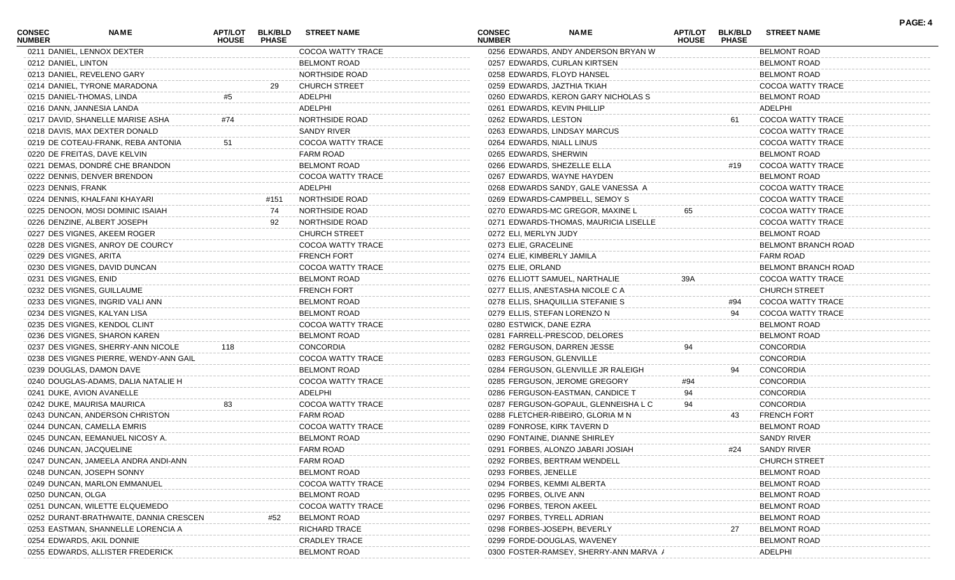| CONSEC<br><b>NUMBER</b> | <b>NAME</b>                            | APT/LOT<br><b>HOUSE</b> | <b>BLK/BLD</b><br><b>PHASE</b> | <b>STREET NAME</b>   | CONSEC<br><b>NUMBER</b>    | <b>NAME</b>                           | <b>APT/LOT</b><br><b>HOUSE</b> | <b>BLK/BLD</b><br><b>PHASE</b> | <b>STREET NAME</b>   | PAGE: 4 |
|-------------------------|----------------------------------------|-------------------------|--------------------------------|----------------------|----------------------------|---------------------------------------|--------------------------------|--------------------------------|----------------------|---------|
|                         | 0211 DANIEL, LENNOX DEXTER             |                         |                                | COCOA WATTY TRACE    |                            | 0256 EDWARDS, ANDY ANDERSON BRYAN W   |                                |                                | <b>BELMONT ROAD</b>  |         |
| 0212 DANIEL, LINTON     |                                        |                         |                                | <b>BELMONT ROAD</b>  |                            | 0257 EDWARDS, CURLAN KIRTSEN          |                                |                                | BELMONT ROAD         |         |
|                         | 0213 DANIEL, REVELENO GARY             |                         |                                | NORTHSIDE ROAD       |                            | 0258 EDWARDS, FLOYD HANSEL            |                                |                                | BELMONT ROAD         |         |
|                         | 0214 DANIEL, TYRONE MARADONA           |                         | 29                             | <b>CHURCH STREET</b> |                            | 0259 EDWARDS, JAZTHIA TKIAH           |                                |                                | COCOA WATTY TRACE    |         |
|                         | 0215 DANIEL-THOMAS, LINDA              | #5                      |                                | ADELPHI              |                            | 0260 EDWARDS, KERON GARY NICHOLAS S   |                                |                                | <b>BELMONT ROAD</b>  |         |
|                         | 0216 DANN, JANNESIA LANDA              |                         |                                | ADELPHI              |                            | 0261 EDWARDS, KEVIN PHILLIP           |                                |                                | ADELPHI              |         |
|                         | 0217 DAVID, SHANELLE MARISE ASHA       | #74                     |                                | NORTHSIDE ROAD       | 0262 EDWARDS, LESTON       |                                       |                                | 61                             | COCOA WATTY TRACE    |         |
|                         | 0218 DAVIS, MAX DEXTER DONALD          |                         |                                | SANDY RIVER          |                            | 0263 EDWARDS, LINDSAY MARCUS          |                                |                                | COCOA WATTY TRACE    |         |
|                         | 0219 DE COTEAU-FRANK, REBA ANTONIA     | 51                      |                                | COCOA WATTY TRACE    | 0264 EDWARDS, NIALL LINUS  |                                       |                                |                                | COCOA WATTY TRACE    |         |
|                         | 0220 DE FREITAS, DAVE KELVIN           |                         |                                | <b>FARM ROAD</b>     | 0265 EDWARDS, SHERWIN      |                                       |                                |                                | <b>BELMONT ROAD</b>  |         |
|                         | 0221 DEMAS, DONDRÉ CHE BRANDON         |                         |                                | <b>BELMONT ROAD</b>  |                            | 0266 EDWARDS, SHEZELLE ELLA           |                                | #19                            | COCOA WATTY TRACE    |         |
|                         | 0222 DENNIS, DENVER BRENDON            |                         |                                | COCOA WATTY TRACE    |                            | 0267 EDWARDS, WAYNE HAYDEN            |                                |                                | <b>BELMONT ROAD</b>  |         |
| 0223 DENNIS, FRANK      |                                        |                         |                                | ADELPHI              |                            | 0268 EDWARDS SANDY, GALE VANESSA A    |                                |                                | COCOA WATTY TRACE    |         |
|                         | 0224 DENNIS, KHALFANI KHAYARI          |                         | #151                           | NORTHSIDE ROAD       |                            | 0269 EDWARDS-CAMPBELL, SEMOY S        |                                |                                | COCOA WATTY TRACE    |         |
|                         | 0225 DENOON, MOSI DOMINIC ISAIAH       |                         | 74                             | NORTHSIDE ROAD       |                            | 0270 EDWARDS-MC GREGOR, MAXINE L      | 65                             |                                | COCOA WATTY TRACE    |         |
|                         | 0226 DENZINE, ALBERT JOSEPH            |                         | 92                             | NORTHSIDE ROAD       |                            | 0271 EDWARDS-THOMAS, MAURICIA LISELLE |                                |                                | COCOA WATTY TRACE    |         |
|                         | 0227 DES VIGNES, AKEEM ROGER           |                         |                                | <b>CHURCH STREET</b> | 0272 ELI, MERLYN JUDY      |                                       |                                |                                | BELMONT ROAD         |         |
|                         | 0228 DES VIGNES, ANROY DE COURCY       |                         |                                | COCOA WATTY TRACE    | 0273 ELIE, GRACELINE       |                                       |                                |                                | BELMONT BRANCH ROAD  |         |
| 0229 DES VIGNES, ARITA  |                                        |                         |                                | <b>FRENCH FORT</b>   | 0274 ELIE, KIMBERLY JAMILA |                                       |                                |                                | FARM ROAD            |         |
|                         | 0230 DES VIGNES, DAVID DUNCAN          |                         |                                | COCOA WATTY TRACE    | 0275 ELIE, ORLAND          |                                       |                                |                                | BELMONT BRANCH ROAD  |         |
| 0231 DES VIGNES, ENID   |                                        |                         |                                | <b>BELMONT ROAD</b>  |                            | 0276 ELLIOTT SAMUEL, NARTHALIE        | 39A                            |                                | COCOA WATTY TRACE    |         |
|                         | 0232 DES VIGNES, GUILLAUME             |                         |                                | <b>FRENCH FORT</b>   |                            | 0277 ELLIS, ANESTASHA NICOLE C A      |                                |                                | <b>CHURCH STREET</b> |         |
|                         | 0233 DES VIGNES, INGRID VALI ANN       |                         |                                | <b>BELMONT ROAD</b>  |                            | 0278 ELLIS, SHAQUILLIA STEFANIE S     |                                | #94                            | COCOA WATTY TRACE    |         |
|                         | 0234 DES VIGNES, KALYAN LISA           |                         |                                | <b>BELMONT ROAD</b>  |                            | 0279 ELLIS, STEFAN LORENZO N          |                                | 94                             | COCOA WATTY TRACE    |         |
|                         |                                        |                         |                                |                      |                            |                                       |                                |                                |                      |         |
|                         | 0235 DES VIGNES, KENDOL CLINT          |                         |                                | COCOA WATTY TRACE    | 0280 ESTWICK, DANE EZRA    |                                       |                                |                                | <b>BELMONT ROAD</b>  |         |
|                         | 0236 DES VIGNES, SHARON KAREN          |                         |                                | <b>BELMONT ROAD</b>  |                            | 0281 FARRELL-PRESCOD, DELORES         |                                |                                | BELMONT ROAD         |         |
|                         | 0237 DES VIGNES, SHERRY-ANN NICOLE     | 118                     |                                | CONCORDIA            |                            | 0282 FERGUSON, DARREN JESSE           | 94                             |                                | <b>CONCORDIA</b>     |         |
|                         | 0238 DES VIGNES PIERRE, WENDY-ANN GAIL |                         |                                | COCOA WATTY TRACE    | 0283 FERGUSON, GLENVILLE   |                                       |                                |                                | <b>CONCORDIA</b>     |         |
|                         | 0239 DOUGLAS, DAMON DAVE               |                         |                                | <b>BELMONT ROAD</b>  |                            | 0284 FERGUSON, GLENVILLE JR RALEIGH   |                                | 94                             | CONCORDIA            |         |
|                         | 0240 DOUGLAS-ADAMS, DALIA NATALIE H    |                         |                                | COCOA WATTY TRACE    |                            | 0285 FERGUSON, JEROME GREGORY         | #94                            |                                | <b>CONCORDIA</b>     |         |
|                         | 0241 DUKE, AVION AVANELLE              |                         |                                | ADELPHI              |                            | 0286 FERGUSON-EASTMAN, CANDICE T      | 94                             |                                | <b>CONCORDIA</b>     |         |
|                         | 0242 DUKE, MAURISA MAURICA             | 83                      |                                | COCOA WATTY TRACE    |                            | 0287 FERGUSON-GOPAUL, GLENNEISHA L C  |                                |                                | <b>CONCORDIA</b>     |         |
|                         | 0243 DUNCAN, ANDERSON CHRISTON         |                         |                                | <b>FARM ROAD</b>     |                            | 0288 FLETCHER-RIBEIRO, GLORIA M N     |                                | 43                             | <b>FRENCH FORT</b>   |         |
|                         | 0244 DUNCAN, CAMELLA EMRIS             |                         |                                | COCOA WATTY TRACE    |                            | 0289 FONROSE, KIRK TAVERN D           |                                |                                | <b>BELMONT ROAD</b>  |         |
|                         | 0245 DUNCAN, EEMANUEL NICOSY A.        |                         |                                | <b>BELMONT ROAD</b>  |                            | 0290 FONTAINE, DIANNE SHIRLEY         |                                |                                | SANDY RIVER          |         |
|                         | 0246 DUNCAN, JACQUELINE                |                         |                                | <b>FARM ROAD</b>     |                            | 0291 FORBES, ALONZO JABARI JOSIAH     |                                | #24                            | SANDY RIVER          |         |
|                         | 0247 DUNCAN, JAMEELA ANDRA ANDI-ANN    |                         |                                | <b>FARM ROAD</b>     |                            | 0292 FORBES, BERTRAM WENDELL          |                                |                                | <b>CHURCH STREET</b> |         |
|                         | 0248 DUNCAN, JOSEPH SONNY              |                         |                                | <b>BELMONT ROAD</b>  | 0293 FORBES, JENELLE       |                                       |                                |                                | <b>BELMONT ROAD</b>  |         |
|                         | 0249 DUNCAN, MARLON EMMANUEL           |                         |                                | COCOA WATTY TRACE    |                            | 0294 FORBES, KEMMI ALBERTA            |                                |                                | <b>BELMONT ROAD</b>  |         |
| 0250 DUNCAN, OLGA       |                                        |                         |                                | <b>BELMONT ROAD</b>  | 0295 FORBES, OLIVE ANN     |                                       |                                |                                | <b>BELMONT ROAD</b>  |         |
|                         | 0251 DUNCAN, WILETTE ELQUEMEDO         |                         |                                | COCOA WATTY TRACE    | 0296 FORBES, TERON AKEEL   |                                       |                                |                                | <b>BELMONT ROAD</b>  |         |
|                         | 0252 DURANT-BRATHWAITE, DANNIA CRESCEN |                         | #52                            | <b>BELMONT ROAD</b>  | 0297 FORBES, TYRELL ADRIAN |                                       |                                |                                | <b>BELMONT ROAD</b>  |         |
|                         | 0253 EASTMAN, SHANNELLE LORENCIA A     |                         |                                | RICHARD TRACE        |                            | 0298 FORBES-JOSEPH, BEVERLY           |                                | 27                             | <b>BELMONT ROAD</b>  |         |
|                         | 0254 EDWARDS, AKIL DONNIE              |                         |                                | <b>CRADLEY TRACE</b> |                            | 0299 FORDE-DOUGLAS, WAVENEY           |                                |                                | <b>BELMONT ROAD</b>  |         |
|                         | 0255 EDWARDS, ALLISTER FREDERICK       |                         |                                | BELMONT ROAD         |                            | 0300 FOSTER-RAMSEY, SHERRY-ANN MARVA  |                                |                                | ADELPHI              |         |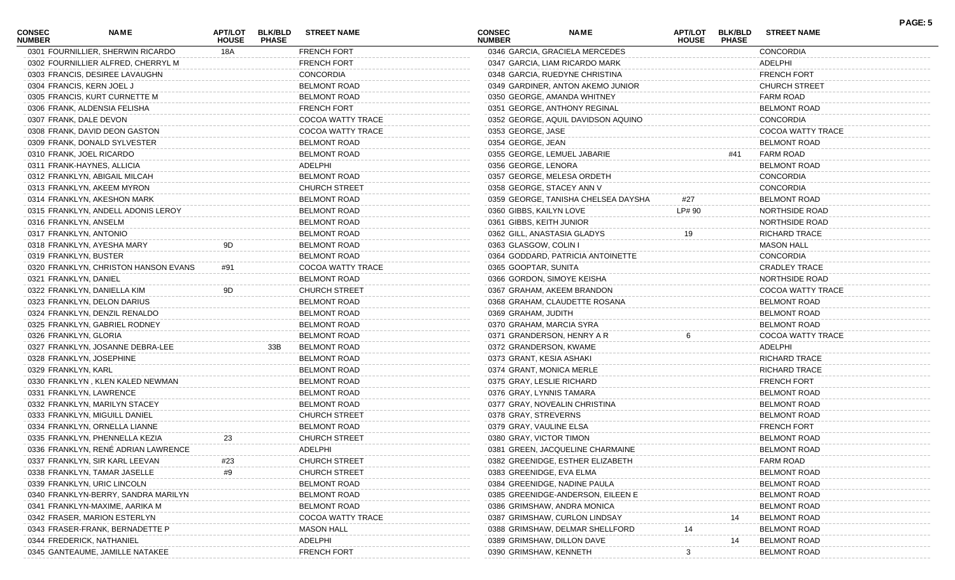| <b>CONSEC</b><br><b>NUMBER</b> | <b>NAME</b>                          | APT/LOT<br><b>HOUSE</b> | <b>BLK/BLD</b><br><b>PHASE</b> | <b>STREET NAME</b>   | <b>CONSEC</b><br><b>NUMBER</b> | <b>NAME</b>                         | <b>APT/LOT</b><br><b>HOUSE</b> | <b>BLK/BLD</b><br><b>PHASE</b> | <b>STREET NAME</b>   | PAGE: 5 |
|--------------------------------|--------------------------------------|-------------------------|--------------------------------|----------------------|--------------------------------|-------------------------------------|--------------------------------|--------------------------------|----------------------|---------|
|                                | 0301 FOURNILLIER, SHERWIN RICARDO    | 18A                     |                                | <b>FRENCH FORT</b>   |                                | 0346 GARCIA, GRACIELA MERCEDES      |                                |                                | <b>CONCORDIA</b>     |         |
|                                | 0302 FOURNILLIER ALFRED, CHERRYL M   |                         |                                | <b>FRENCH FORT</b>   |                                | 0347 GARCIA, LIAM RICARDO MARK      |                                |                                | ADELPHI              |         |
|                                | 0303 FRANCIS, DESIREE LAVAUGHN       |                         |                                | <b>CONCORDIA</b>     |                                | 0348 GARCIA, RUEDYNE CHRISTINA      |                                |                                | <b>FRENCH FORT</b>   |         |
|                                | 0304 FRANCIS, KERN JOEL J            |                         |                                | <b>BELMONT ROAD</b>  |                                | 0349 GARDINER, ANTON AKEMO JUNIOR   |                                |                                | <b>CHURCH STREET</b> |         |
|                                | 0305 FRANCIS, KURT CURNETTE M        |                         |                                | <b>BELMONT ROAD</b>  |                                | 0350 GEORGE, AMANDA WHITNEY         |                                |                                | <b>FARM ROAD</b>     |         |
|                                | 0306 FRANK, ALDENSIA FELISHA         |                         |                                | <b>FRENCH FORT</b>   |                                | 0351 GEORGE, ANTHONY REGINAL        |                                |                                | <b>BELMONT ROAD</b>  |         |
|                                | 0307 FRANK, DALE DEVON               |                         |                                | COCOA WATTY TRACE    |                                | 0352 GEORGE, AQUIL DAVIDSON AQUINO  |                                |                                | <b>CONCORDIA</b>     |         |
|                                | 0308 FRANK, DAVID DEON GASTON        |                         |                                | COCOA WATTY TRACE    | 0353 GEORGE, JASE              |                                     |                                |                                | COCOA WATTY TRACE    |         |
|                                | 0309 FRANK, DONALD SYLVESTER         |                         |                                | <b>BELMONT ROAD</b>  | 0354 GEORGE, JEAN              |                                     |                                |                                | <b>BELMONT ROAD</b>  |         |
|                                | 0310 FRANK, JOEL RICARDO             |                         |                                | <b>BELMONT ROAD</b>  | 0355 GEORGE, LEMUEL JABARIE    |                                     |                                | #41                            | <b>FARM ROAD</b>     |         |
|                                | 0311 FRANK-HAYNES, ALLICIA           |                         |                                | ADELPHI              | 0356 GEORGE, LENORA            |                                     |                                |                                | <b>BELMONT ROAD</b>  |         |
|                                | 0312 FRANKLYN, ABIGAIL MILCAH        |                         |                                | <b>BELMONT ROAD</b>  | 0357 GEORGE, MELESA ORDETH     |                                     |                                |                                | <b>CONCORDIA</b>     |         |
|                                | 0313 FRANKLYN, AKEEM MYRON           |                         |                                | <b>CHURCH STREET</b> | 0358 GEORGE, STACEY ANN V      |                                     |                                |                                | <b>CONCORDIA</b>     |         |
|                                | 0314 FRANKLYN, AKESHON MARK          |                         |                                | <b>BELMONT ROAD</b>  |                                | 0359 GEORGE, TANISHA CHELSEA DAYSHA | #27                            |                                | <b>BELMONT ROAD</b>  |         |
|                                | 0315 FRANKLYN, ANDELL ADONIS LEROY   |                         |                                | <b>BELMONT ROAD</b>  | 0360 GIBBS, KAILYN LOVE        |                                     | LP# 90                         |                                | NORTHSIDE ROAD       |         |
|                                | 0316 FRANKLYN, ANSELM                |                         |                                | <b>BELMONT ROAD</b>  | 0361 GIBBS, KEITH JUNIOR       |                                     |                                |                                | NORTHSIDE ROAD       |         |
|                                | 0317 FRANKLYN, ANTONIO               |                         |                                | <b>BELMONT ROAD</b>  | 0362 GILL, ANASTASIA GLADYS    |                                     | 19                             |                                | <b>RICHARD TRACE</b> |         |
|                                | 0318 FRANKLYN, AYESHA MARY           | 9D                      |                                | <b>BELMONT ROAD</b>  | 0363 GLASGOW, COLIN I          |                                     |                                |                                | <b>MASON HALL</b>    |         |
| 0319 FRANKLYN, BUSTER          |                                      |                         |                                | <b>BELMONT ROAD</b>  |                                | 0364 GODDARD, PATRICIA ANTOINETTE   |                                |                                | <b>CONCORDIA</b>     |         |
|                                | 0320 FRANKLYN, CHRISTON HANSON EVANS | #91                     |                                | COCOA WATTY TRACE    | 0365 GOOPTAR, SUNITA           |                                     |                                |                                | <b>CRADLEY TRACE</b> |         |
| 0321 FRANKLYN, DANIEL          |                                      |                         |                                | <b>BELMONT ROAD</b>  | 0366 GORDON, SIMOYE KEISHA     |                                     |                                |                                | NORTHSIDE ROAD       |         |
|                                | 0322 FRANKLYN, DANIELLA KIM          | 9D                      |                                | <b>CHURCH STREET</b> |                                | 0367 GRAHAM, AKEEM BRANDON          |                                |                                | COCOA WATTY TRACE    |         |
|                                | 0323 FRANKLYN, DELON DARIUS          |                         |                                | <b>BELMONT ROAD</b>  |                                | 0368 GRAHAM, CLAUDETTE ROSANA       |                                |                                | <b>BELMONT ROAD</b>  |         |
|                                | 0324 FRANKLYN, DENZIL RENALDO        |                         |                                | <b>BELMONT ROAD</b>  | 0369 GRAHAM, JUDITH            |                                     |                                |                                | <b>BELMONT ROAD</b>  |         |
|                                | 0325 FRANKLYN, GABRIEL RODNEY        |                         |                                | <b>BELMONT ROAD</b>  | 0370 GRAHAM, MARCIA SYRA       |                                     |                                |                                | <b>BELMONT ROAD</b>  |         |
| 0326 FRANKLYN, GLORIA          |                                      |                         |                                | <b>BELMONT ROAD</b>  | 0371 GRANDERSON, HENRY A R     |                                     |                                |                                | COCOA WATTY TRACE    |         |
|                                | 0327 FRANKLYN, JOSANNE DEBRA-LEE     |                         | 33B                            | <b>BELMONT ROAD</b>  | 0372 GRANDERSON, KWAME         |                                     |                                |                                | ADELPHI              |         |
|                                | 0328 FRANKLYN, JOSEPHINE             |                         |                                | <b>BELMONT ROAD</b>  | 0373 GRANT, KESIA ASHAKI       |                                     |                                |                                | <b>RICHARD TRACE</b> |         |
| 0329 FRANKLYN, KARL            |                                      |                         |                                | <b>BELMONT ROAD</b>  | 0374 GRANT, MONICA MERLE       |                                     |                                |                                | <b>RICHARD TRACE</b> |         |
|                                | 0330 FRANKLYN, KLEN KALED NEWMAN     |                         |                                | <b>BELMONT ROAD</b>  | 0375 GRAY, LESLIE RICHARD      |                                     |                                |                                | <b>FRENCH FORT</b>   |         |
|                                | 0331 FRANKLYN, LAWRENCE              |                         |                                | <b>BELMONT ROAD</b>  | 0376 GRAY, LYNNIS TAMARA       |                                     |                                |                                | <b>BELMONT ROAD</b>  |         |
|                                | 0332 FRANKLYN, MARILYN STACEY        |                         |                                | <b>BELMONT ROAD</b>  |                                | 0377 GRAY, NOVEALIN CHRISTINA       |                                |                                | <b>BELMONT ROAD</b>  |         |
|                                | 0333 FRANKLYN, MIGUILL DANIEL        |                         |                                | <b>CHURCH STREET</b> | 0378 GRAY, STREVERNS           |                                     |                                |                                | <b>BELMONT ROAD</b>  |         |
|                                | 0334 FRANKLYN, ORNELLA LIANNE        |                         |                                | <b>BELMONT ROAD</b>  | 0379 GRAY, VAULINE ELSA        |                                     |                                |                                | <b>FRENCH FORT</b>   |         |
|                                | 0335 FRANKLYN, PHENNELLA KEZIA       | 23                      |                                | <b>CHURCH STREET</b> | 0380 GRAY, VICTOR TIMON        |                                     |                                |                                | <b>BELMONT ROAD</b>  |         |
|                                | 0336 FRANKLYN, RENÉ ADRIAN LAWRENCE  |                         |                                |                      |                                |                                     |                                |                                |                      |         |
|                                |                                      |                         |                                | ADELPHI              |                                | 0381 GREEN, JACQUELINE CHARMAINE    |                                |                                | <b>BELMONT ROAD</b>  |         |
|                                | 0337 FRANKLYN, SIR KARL LEEVAN       | #23                     |                                | <b>CHURCH STREET</b> |                                | 0382 GREENIDGE, ESTHER ELIZABETH    |                                |                                | <b>FARM ROAD</b>     |         |
|                                | 0338 FRANKLYN, TAMAR JASELLE         | #9                      |                                | <b>CHURCH STREET</b> | 0383 GREENIDGE, EVA ELMA       |                                     |                                |                                | <b>BELMONT ROAD</b>  |         |
|                                | 0339 FRANKLYN, URIC LINCOLN          |                         |                                | <b>BELMONT ROAD</b>  |                                | 0384 GREENIDGE, NADINE PAULA        |                                |                                | <b>BELMONT ROAD</b>  |         |
|                                | 0340 FRANKLYN-BERRY, SANDRA MARILYN  |                         |                                | <b>BELMONT ROAD</b>  |                                | 0385 GREENIDGE-ANDERSON, EILEEN E   |                                |                                | <b>BELMONT ROAD</b>  |         |
|                                | 0341 FRANKLYN-MAXIME, AARIKA M       |                         |                                | <b>BELMONT ROAD</b>  |                                | 0386 GRIMSHAW, ANDRA MONICA         |                                |                                | <b>BELMONT ROAD</b>  |         |
|                                | 0342 FRASER, MARION ESTERLYN         |                         |                                | COCOA WATTY TRACE    |                                | 0387 GRIMSHAW, CURLON LINDSAY       |                                | 14                             | <b>BELMONT ROAD</b>  |         |
|                                | 0343 FRASER-FRANK, BERNADETTE P      |                         |                                | <b>MASON HALL</b>    |                                | 0388 GRIMSHAW, DELMAR SHELLFORD     |                                |                                | <b>BELMONT ROAD</b>  |         |
|                                | 0344 FREDERICK, NATHANIEL            |                         |                                | ADELPHI              | 0389 GRIMSHAW, DILLON DAVE     |                                     |                                | 14                             | <b>BELMONT ROAD</b>  |         |
|                                | 0345 GANTEAUME, JAMILLE NATAKEE      |                         |                                | <b>FRENCH FORT</b>   | 0390 GRIMSHAW, KENNETH         |                                     |                                |                                | <b>BELMONT ROAD</b>  |         |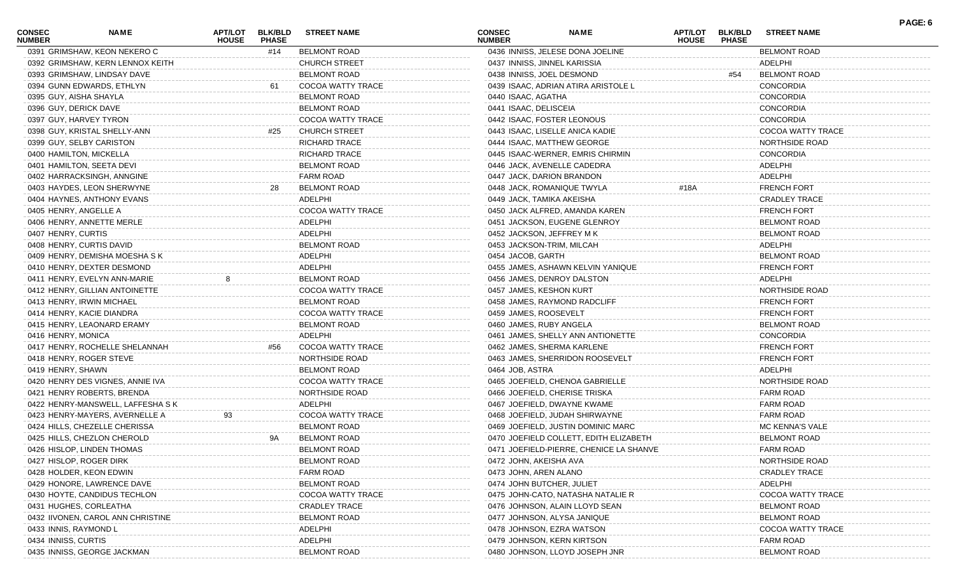| <b>CONSEC</b><br><b>NUMBER</b> | NAME                              | <b>APT/LOT</b><br><b>HOUSE</b> | <b>BLK/BLD</b><br><b>PHASE</b> | <b>STREET NAME</b>       | <b>CONSEC</b><br><b>NUMBER</b> | <b>NAME</b>                             | APT/LOT<br><b>HOUSE</b> | <b>BLK/BLD</b><br><b>PHASE</b> | <b>STREET NAME</b>       | PAGE: 6 |
|--------------------------------|-----------------------------------|--------------------------------|--------------------------------|--------------------------|--------------------------------|-----------------------------------------|-------------------------|--------------------------------|--------------------------|---------|
|                                | 0391 GRIMSHAW, KEON NEKERO C      |                                | #14                            | <b>BELMONT ROAD</b>      |                                | 0436 INNISS, JELESE DONA JOELINE        |                         |                                | <b>BELMONT ROAD</b>      |         |
|                                | 0392 GRIMSHAW, KERN LENNOX KEITH  |                                |                                | <b>CHURCH STREET</b>     |                                | 0437 INNISS, JINNEL KARISSIA            |                         |                                | ADELPHI                  |         |
|                                | 0393 GRIMSHAW, LINDSAY DAVE       |                                |                                | <b>BELMONT ROAD</b>      |                                | 0438 INNISS, JOEL DESMOND               |                         | #54                            | <b>BELMONT ROAD</b>      |         |
|                                | 0394 GUNN EDWARDS, ETHLYN         |                                | 61                             | COCOA WATTY TRACE        |                                | 0439 ISAAC, ADRIAN ATIRA ARISTOLE L     |                         |                                | <b>CONCORDIA</b>         |         |
| 0395 GUY, AISHA SHAYLA         |                                   |                                |                                | <b>BELMONT ROAD</b>      | 0440 ISAAC, AGATHA             |                                         |                         |                                | <b>CONCORDIA</b>         |         |
| 0396 GUY, DERICK DAVE          |                                   |                                |                                | <b>BELMONT ROAD</b>      | 0441 ISAAC, DELISCEIA          |                                         |                         |                                | <b>CONCORDIA</b>         |         |
|                                | 0397 GUY, HARVEY TYRON            |                                |                                | <b>COCOA WATTY TRACE</b> |                                | 0442 ISAAC, FOSTER LEONOUS              |                         |                                | <b>CONCORDIA</b>         |         |
|                                | 0398 GUY, KRISTAL SHELLY-ANN      |                                | #25                            | <b>CHURCH STREET</b>     |                                | 0443 ISAAC, LISELLE ANICA KADIE         |                         |                                | COCOA WATTY TRACE        |         |
|                                | 0399 GUY, SELBY CARISTON          |                                |                                | <b>RICHARD TRACE</b>     |                                | 0444 ISAAC, MATTHEW GEORGE              |                         |                                | NORTHSIDE ROAD           |         |
|                                | 0400 HAMILTON, MICKELLA           |                                |                                | <b>RICHARD TRACE</b>     |                                | 0445 ISAAC-WERNER, EMRIS CHIRMIN        |                         |                                | <b>CONCORDIA</b>         |         |
|                                | 0401 HAMILTON, SEETA DEVI         |                                |                                | <b>BELMONT ROAD</b>      |                                | 0446 JACK, AVENELLE CADEDRA             |                         |                                | ADELPHI                  |         |
|                                | 0402 HARRACKSINGH, ANNGINE        |                                |                                | <b>FARM ROAD</b>         |                                | 0447 JACK, DARION BRANDON               |                         |                                | ADELPHI                  |         |
|                                | 0403 HAYDES, LEON SHERWYNE        |                                | 28                             | <b>BELMONT ROAD</b>      |                                | 0448 JACK, ROMANIQUE TWYLA              | #18A                    |                                | <b>FRENCH FORT</b>       |         |
|                                | 0404 HAYNES, ANTHONY EVANS        |                                |                                | ADELPHI                  |                                | 0449 JACK, TAMIKA AKEISHA               |                         |                                | <b>CRADLEY TRACE</b>     |         |
| 0405 HENRY, ANGELLE A          |                                   |                                |                                | COCOA WATTY TRACE        |                                | 0450 JACK ALFRED, AMANDA KAREN          |                         |                                | <b>FRENCH FORT</b>       |         |
|                                | 0406 HENRY, ANNETTE MERLE         |                                |                                | ADELPHI                  |                                | 0451 JACKSON, EUGENE GLENROY            |                         |                                | <b>BELMONT ROAD</b>      |         |
| 0407 HENRY, CURTIS             |                                   |                                |                                | ADELPHI                  |                                | 0452 JACKSON, JEFFREY M K               |                         |                                | <b>BELMONT ROAD</b>      |         |
|                                | 0408 HENRY, CURTIS DAVID          |                                |                                | <b>BELMONT ROAD</b>      |                                | 0453 JACKSON-TRIM, MILCAH               |                         |                                | ADELPHI                  |         |
|                                | 0409 HENRY, DEMISHA MOESHA S K    |                                |                                | ADELPHI                  | 0454 JACOB, GARTH              |                                         |                         |                                | <b>BELMONT ROAD</b>      |         |
|                                | 0410 HENRY, DEXTER DESMOND        |                                |                                | ADELPHI                  |                                | 0455 JAMES, ASHAWN KELVIN YANIQUE       |                         |                                | <b>FRENCH FORT</b>       |         |
|                                | 0411 HENRY, EVELYN ANN-MARIE      | 8                              |                                | <b>BELMONT ROAD</b>      |                                | 0456 JAMES, DENROY DALSTON              |                         |                                | ADELPHI                  |         |
|                                | 0412 HENRY, GILLIAN ANTOINETTE    |                                |                                | COCOA WATTY TRACE        | 0457 JAMES, KESHON KURT        |                                         |                         |                                | NORTHSIDE ROAD           |         |
|                                | 0413 HENRY, IRWIN MICHAEL         |                                |                                | <b>BELMONT ROAD</b>      |                                | 0458 JAMES, RAYMOND RADCLIFF            |                         |                                | <b>FRENCH FORT</b>       |         |
|                                | 0414 HENRY, KACIE DIANDRA         |                                |                                | COCOA WATTY TRACE        | 0459 JAMES, ROOSEVELT          |                                         |                         |                                | <b>FRENCH FORT</b>       |         |
|                                | 0415 HENRY, LEAONARD ERAMY        |                                |                                | <b>BELMONT ROAD</b>      | 0460 JAMES, RUBY ANGELA        |                                         |                         |                                | <b>BELMONT ROAD</b>      |         |
| 0416 HENRY, MONICA             |                                   |                                |                                | ADELPHI                  |                                | 0461 JAMES, SHELLY ANN ANTIONETTE       |                         |                                | <b>CONCORDIA</b>         |         |
|                                |                                   |                                | #56                            | COCOA WATTY TRACE        |                                |                                         |                         |                                |                          |         |
|                                | 0417 HENRY, ROCHELLE SHELANNAH    |                                |                                |                          |                                | 0462 JAMES, SHERMA KARLENE              |                         |                                | <b>FRENCH FORT</b>       |         |
|                                | 0418 HENRY, ROGER STEVE           |                                |                                | NORTHSIDE ROAD           |                                | 0463 JAMES, SHERRIDON ROOSEVELT         |                         |                                | <b>FRENCH FORT</b>       |         |
| 0419 HENRY, SHAWN              |                                   |                                |                                | <b>BELMONT ROAD</b>      | 0464 JOB, ASTRA                |                                         |                         |                                | ADELPHI                  |         |
|                                | 0420 HENRY DES VIGNES, ANNIE IVA  |                                |                                | COCOA WATTY TRACE        |                                | 0465 JOEFIELD, CHENOA GABRIELLE         |                         |                                | NORTHSIDE ROAD           |         |
|                                | 0421 HENRY ROBERTS, BRENDA        |                                |                                | NORTHSIDE ROAD           |                                | 0466 JOEFIELD, CHERISE TRISKA           |                         |                                | <b>FARM ROAD</b>         |         |
|                                | 0422 HENRY-MANSWELL, LAFFESHA S K |                                |                                | ADELPHI                  |                                | 0467 JOEFIELD, DWAYNE KWAME             |                         |                                | FARM ROAD                |         |
|                                | 0423 HENRY-MAYERS, AVERNELLE A    | 93                             |                                | COCOA WATTY TRACE        |                                | 0468 JOEFIELD, JUDAH SHIRWAYNE          |                         |                                | FARM ROAD                |         |
|                                | 0424 HILLS, CHEZELLE CHERISSA     |                                |                                | <b>BELMONT ROAD</b>      |                                | 0469 JOEFIELD, JUSTIN DOMINIC MARC      |                         |                                | MC KENNA'S VALE          |         |
|                                | 0425 HILLS, CHEZLON CHEROLD       |                                | 9A                             | <b>BELMONT ROAD</b>      |                                | 0470 JOEFIELD COLLETT, EDITH ELIZABETH  |                         |                                | <b>BELMONT ROAD</b>      |         |
|                                | 0426 HISLOP, LINDEN THOMAS        |                                |                                | <b>BELMONT ROAD</b>      |                                | 0471 JOEFIELD-PIERRE, CHENICE LA SHANVE |                         |                                | FARM ROAD                |         |
|                                | 0427 HISLOP, ROGER DIRK           |                                |                                | <b>BELMONT ROAD</b>      | 0472 JOHN, AKEISHA AVA         |                                         |                         |                                | NORTHSIDE ROAD           |         |
|                                | 0428 HOLDER, KEON EDWIN           |                                |                                | <b>FARM ROAD</b>         | 0473 JOHN, AREN ALANO          |                                         |                         |                                | <b>CRADLEY TRACE</b>     |         |
|                                | 0429 HONORE, LAWRENCE DAVE        |                                |                                | <b>BELMONT ROAD</b>      |                                | 0474 JOHN BUTCHER, JULIET               |                         |                                | ADELPHI                  |         |
|                                | 0430 HOYTE, CANDIDUS TECHLON      |                                |                                | COCOA WATTY TRACE        |                                | 0475 JOHN-CATO, NATASHA NATALIE R       |                         |                                | COCOA WATTY TRACE        |         |
|                                | 0431 HUGHES, CORLEATHA            |                                |                                | <b>CRADLEY TRACE</b>     |                                | 0476 JOHNSON, ALAIN LLOYD SEAN          |                         |                                | <b>BELMONT ROAD</b>      |         |
|                                | 0432 IIVONEN, CAROL ANN CHRISTINE |                                |                                | <b>BELMONT ROAD</b>      |                                | 0477 JOHNSON, ALYSA JANIQUE             |                         |                                | <b>BELMONT ROAD</b>      |         |
| 0433 INNIS, RAYMOND L          |                                   |                                |                                | ADELPHI                  |                                | 0478 JOHNSON, EZRA WATSON               |                         |                                | <b>COCOA WATTY TRACE</b> |         |
| 0434 INNISS, CURTIS            |                                   |                                |                                | ADELPHI                  |                                | 0479 JOHNSON, KERN KIRTSON              |                         |                                | FARM ROAD                |         |
|                                | 0435 INNISS, GEORGE JACKMAN       |                                |                                | <b>BELMONT ROAD</b>      |                                | 0480 JOHNSON, LLOYD JOSEPH JNR          |                         |                                | <b>BELMONT ROAD</b>      |         |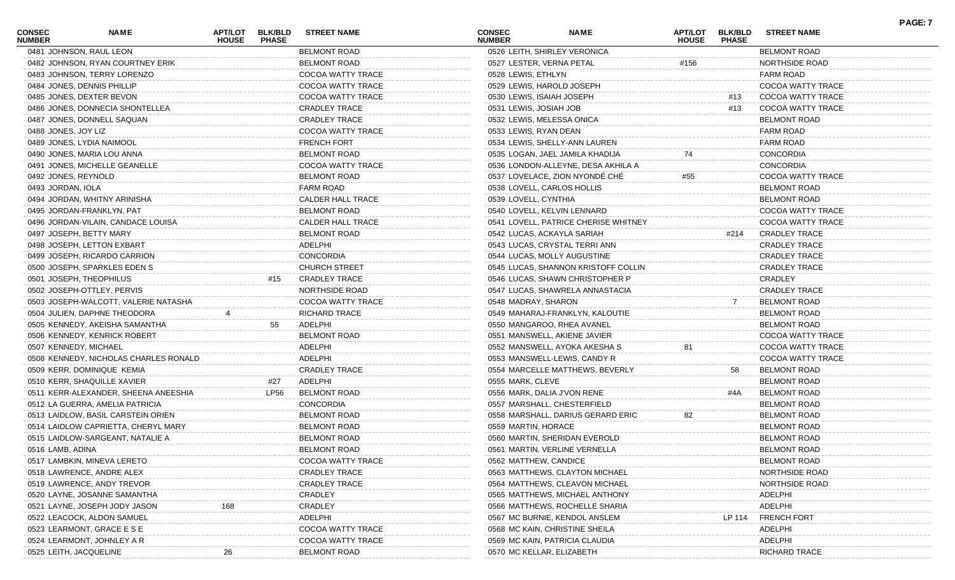| <b>CONSEC</b><br><b>NUMBER</b> | <b>NAME</b>                           | <b>APT/LOT</b><br><b>HOUSE</b> | <b>BLK/BLD</b><br><b>PHASE</b> | <b>STREET NAME</b>       | <b>CONSEC</b><br><b>NUMBER</b> | <b>NAME</b>                          | <b>HOUSE</b> | APT/LOT BLK/BLD<br><b>PHASE</b> | <b>STREET NAME</b>    | <b>PAGE: 7</b> |
|--------------------------------|---------------------------------------|--------------------------------|--------------------------------|--------------------------|--------------------------------|--------------------------------------|--------------|---------------------------------|-----------------------|----------------|
|                                | 0481 JOHNSON, RAUL LEON               |                                |                                | <b>BELMONT ROAD</b>      |                                | 0526 LEITH, SHIRLEY VERONICA         |              |                                 | <b>BELMONT ROAD</b>   |                |
|                                | 0482 JOHNSON, RYAN COURTNEY ERIK      |                                |                                | <b>BELMONT ROAD</b>      | 0527 LESTER, VERNA PETAL       |                                      | #156         |                                 | NORTHSIDE ROAD        |                |
|                                | 0483 JOHNSON, TERRY LORENZO           |                                |                                | COCOA WATTY TRACE        | 0528 LEWIS, ETHLYN             |                                      |              |                                 | FARM ROAD             |                |
|                                | 0484 JONES, DENNIS PHILLIP            |                                |                                | COCOA WATTY TRACE        |                                | 0529 LEWIS, HAROLD JOSEPH            |              |                                 | COCOA WATTY TRACE     |                |
|                                | 0485 JONES, DEXTER BEVON              |                                |                                | COCOA WATTY TRACE        | 0530 LEWIS, ISAIAH JOSEPH      |                                      |              | #13                             | COCOA WATTY TRACE     |                |
|                                | 0486 JONES, DONNECIA SHONTELLEA       |                                |                                | <b>CRADLEY TRACE</b>     | 0531 LEWIS, JOSIAH JOB         |                                      |              | #13                             | COCOA WATTY TRACE     |                |
|                                | 0487 JONES, DONNELL SAQUAN            |                                |                                | <b>CRADLEY TRACE</b>     |                                | 0532 LEWIS, MELESSA ONICA            |              |                                 | <b>BELMONT ROAD</b>   |                |
| 0488 JONES, JOY LIZ            |                                       |                                |                                | COCOA WATTY TRACE        | 0533 LEWIS, RYAN DEAN          |                                      |              |                                 | <b>FARM ROAD</b>      |                |
|                                | 0489 JONES, LYDIA NAIMOOL             |                                |                                | <b>FRENCH FORT</b>       |                                | 0534 LEWIS, SHELLY-ANN LAUREN        |              |                                 | <b>FARM ROAD</b>      |                |
|                                | 0490 JONES, MARIA LOU ANNA            |                                |                                | <b>BELMONT ROAD</b>      |                                | 0535 LOGAN, JAEL JAMILA KHADIJA      | 74           |                                 | <b>CONCORDIA</b>      |                |
|                                | 0491 JONES, MICHELLE GEANELLE         |                                |                                | COCOA WATTY TRACE        |                                | 0536 LONDON-ALLEYNE, DESA AKHILA A   |              |                                 | <b>CONCORDIA</b>      |                |
| 0492 JONES, REYNOLD            |                                       |                                |                                | <b>BELMONT ROAD</b>      |                                | 0537 LOVELACE, ZION NYONDE CHE       | #55          |                                 | COCOA WATTY TRACE     |                |
| 0493 JORDAN, IOLA              |                                       |                                |                                | <b>FARM ROAD</b>         |                                | 0538 LOVELL, CARLOS HOLLIS           |              |                                 | <b>BELMONT ROAD</b>   |                |
|                                | 0494 JORDAN, WHITNY ARINISHA          |                                |                                | <b>CALDER HALL TRACE</b> | 0539 LOVELL, CYNTHIA           |                                      |              |                                 | <b>BELMONT ROAD</b>   |                |
|                                | 0495 JORDAN-FRANKLYN, PAT             |                                |                                | <b>BELMONT ROAD</b>      |                                | 0540 LOVELL, KELVIN LENNARD          |              |                                 | COCOA WATTY TRACE     |                |
|                                | 0496 JORDAN-VILAIN, CANDACE LOUISA    |                                |                                | <b>CALDER HALL TRACE</b> |                                | 0541 LOVELL, PATRICE CHERISE WHITNEY |              |                                 | COCOA WATTY TRACE     |                |
|                                | 0497 JOSEPH, BETTY MARY               |                                |                                | <b>BELMONT ROAD</b>      |                                | 0542 LUCAS, ACKAYLA SARIAH           |              | #214                            | <b>CRADLEY TRACE</b>  |                |
|                                | 0498 JOSEPH, LETTON EXBART            |                                |                                | ADELPHI                  |                                | 0543 LUCAS, CRYSTAL TERRI ANN        |              |                                 | <b>CRADLEY TRACE</b>  |                |
|                                | 0499 JOSEPH, RICARDO CARRION          |                                |                                | CONCORDIA                |                                | 0544 LUCAS, MOLLY AUGUSTINE          |              |                                 | <b>CRADLEY TRACE</b>  |                |
|                                | 0500 JOSEPH, SPARKLES EDEN S          |                                |                                | <b>CHURCH STREET</b>     |                                | 0545 LUCAS, SHANNON KRISTOFF COLLIN  |              |                                 | <b>CRADLEY TRACE</b>  |                |
|                                | 0501 JOSEPH, THEOPHILUS               |                                | #15                            | <b>CRADLEY TRACE</b>     |                                | 0546 LUCAS, SHAWN CHRISTOPHER P      |              |                                 | CRADLEY               |                |
|                                | 0502 JOSEPH-OTTLEY, PERVIS            |                                |                                | NORTHSIDE ROAD           |                                | 0547 LUCAS, SHAWRELA ANNASTACIA      |              |                                 | <b>CRADLEY TRACE</b>  |                |
|                                | 0503 JOSEPH-WALCOTT, VALERIE NATASHA  |                                |                                | COCOA WATTY TRACE        | 0548 MADRAY, SHARON            |                                      |              |                                 | <b>BELMONT ROAD</b>   |                |
|                                | 0504 JULIEN, DAPHNE THEODORA          |                                |                                | <b>RICHARD TRACE</b>     |                                | 0549 MAHARAJ-FRANKLYN, KALOUTIE      |              |                                 | <b>BELMONT ROAD</b>   |                |
|                                | 0505 KENNEDY, AKEISHA SAMANTHA        |                                | 55                             | ADELPHI                  |                                | 0550 MANGAROO, RHEA AVANEL           |              |                                 | <b>BELMONT ROAD</b>   |                |
|                                | 0506 KENNEDY, KENRICK ROBERT          |                                |                                | <b>BELMONT ROAD</b>      |                                | 0551 MANSWELL, AKIENE JAVIER         |              |                                 | COCOA WATTY TRACE     |                |
| 0507 KENNEDY, MICHAEL          |                                       |                                |                                | ADELPHI                  |                                | 0552 MANSWELL, AYOKA AKESHA S        | 81           |                                 | COCOA WATTY TRACE     |                |
|                                | 0508 KENNEDY, NICHOLAS CHARLES RONALD |                                |                                | ADELPHI                  |                                | 0553 MANSWELL-LEWIS, CANDY R         |              |                                 | COCOA WATTY TRACE     |                |
|                                | 0509 KERR, DOMINIQUE KEMIA            |                                |                                | <b>CRADLEY TRACE</b>     |                                | 0554 MARCELLE MATTHEWS, BEVERLY      |              | 58                              | <b>BELMONT ROAD</b>   |                |
|                                | 0510 KERR, SHAQUILLE XAVIER           |                                | #27                            | ADELPHI                  | 0555 MARK, CLEVE               |                                      |              |                                 | <b>BELMONT ROAD</b>   |                |
|                                | 0511 KERR-ALEXANDER, SHEENA ANEESHIA  |                                | LP56                           | <b>BELMONT ROAD</b>      |                                | 0556 MARK, DALIA J'VON RENE          |              | #4A                             | <b>BELMONT ROAD</b>   |                |
|                                | 0512 LA GUERRA, AMELIA PATRICIA       |                                |                                | CONCORDIA                |                                | 0557 MARSHALL, CHESTERFIELD          |              |                                 | <b>BELMONT ROAD</b>   |                |
|                                | 0513 LAIDLOW, BASIL CARSTEIN ORIEN    |                                |                                | <b>BELMONT ROAD</b>      |                                | 0558 MARSHALL, DARIUS GERARD ERIC    | 82           |                                 | <b>BELMONT ROAD</b>   |                |
|                                | 0514 LAIDLOW CAPRIETTA, CHERYL MARY   |                                |                                | <b>BELMONT ROAD</b>      | 0559 MARTIN, HORACE            |                                      |              |                                 | <b>BELMONT ROAD</b>   |                |
|                                | 0515 LAIDLOW-SARGEANT, NATALIE A      |                                |                                | <b>BELMONT ROAD</b>      |                                | 0560 MARTIN, SHERIDAN EVEROLD        |              |                                 | <b>BELMONT ROAD</b>   |                |
| 0516 LAMB, ADINA               |                                       |                                |                                | <b>BELMONT ROAD</b>      |                                | 0561 MARTIN, VERLINE VERNELLA        |              |                                 | <b>BELMONT ROAD</b>   |                |
|                                | 0517 LAMBKIN, MINEVA LERETO           |                                |                                | COCOA WATTY TRACE        | 0562 MATTHEW, CANDICE          |                                      |              |                                 | <b>BELMONT ROAD</b>   |                |
|                                | 0518 LAWRENCE, ANDRE ALEX             |                                |                                | <b>CRADLEY TRACE</b>     |                                | 0563 MATTHEWS, CLAYTON MICHAEL       |              |                                 | NORTHSIDE ROAD        |                |
|                                | 0519 LAWRENCE, ANDY TREVOR            |                                |                                | <b>CRADLEY TRACE</b>     |                                | 0564 MATTHEWS, CLEAVON MICHAEL       |              |                                 | <b>NORTHSIDE ROAD</b> |                |
|                                | 0520 LAYNE, JOSANNE SAMANTHA          |                                |                                | CRADLEY                  |                                | 0565 MATTHEWS, MICHAEL ANTHONY       |              |                                 | ADELPHI               |                |
|                                | 0521 LAYNE, JOSEPH JODY JASON         |                                |                                | CRADLEY                  |                                | 0566 MATTHEWS, ROCHELLE SHARIA       |              |                                 | ADELPHI               |                |
|                                | 0522 LEACOCK, ALDON SAMUEL            |                                |                                | ADELPHI                  |                                | 0567 MC BURNIE, KENDOL ANSLEM        |              | LP 114                          | <b>FRENCH FORT</b>    |                |
|                                | 0523 LEARMONT, GRACE E S E            |                                |                                | COCOA WATTY TRACE        |                                | 0568 MC KAIN, CHRISTINE SHEILA       |              |                                 | ADELPHI               |                |
|                                | 0524 LEARMONT, JOHNLEY A R            |                                |                                | COCOA WATTY TRACE        |                                | 0569 MC KAIN, PATRICIA CLAUDIA       |              |                                 | ADELPHI               |                |
| 0525 LEITH, JACQUELINE         |                                       |                                |                                | <b>BELMONT ROAD</b>      |                                | 0570 MC KELLAR, ELIZABETH            |              |                                 | <b>RICHARD TRACE</b>  |                |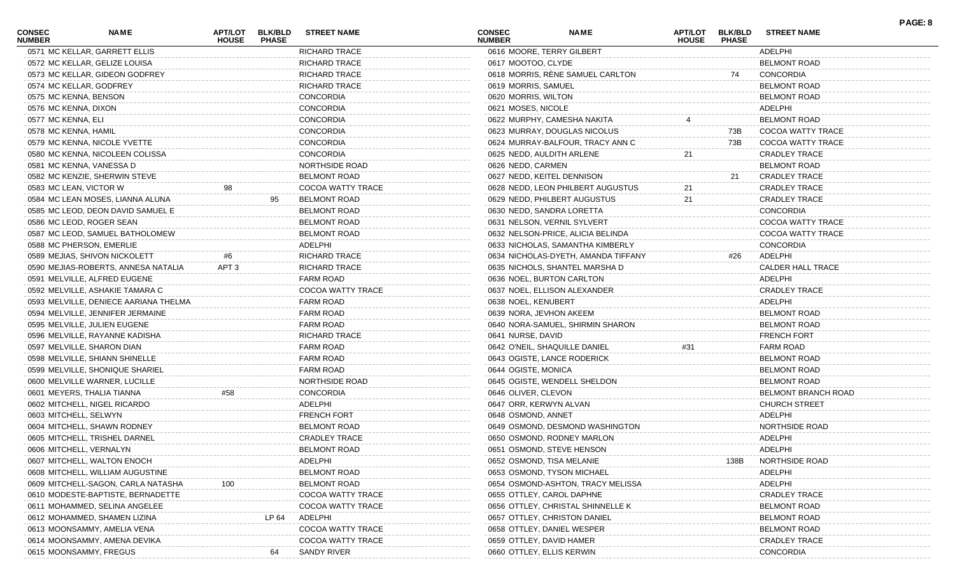| <b>CONSEC</b><br><b>NUMBER</b> | <b>NAME</b>                           | APT/LOT<br><b>HOUSE</b> | <b>BLK/BLD</b><br><b>PHASE</b> | <b>STREET NAME</b>    | <b>CONSEC</b><br><b>NUMBER</b> | <b>NAME</b>                         | <b>APT/LOT</b><br><b>HOUSE</b> | <b>BLK/BLD</b><br><b>PHASE</b> | <b>STREET NAME</b>   | PAGE: 8 |
|--------------------------------|---------------------------------------|-------------------------|--------------------------------|-----------------------|--------------------------------|-------------------------------------|--------------------------------|--------------------------------|----------------------|---------|
|                                | 0571 MC KELLAR, GARRETT ELLIS         |                         |                                | <b>RICHARD TRACE</b>  |                                | 0616 MOORE, TERRY GILBERT           |                                |                                | ADELPHI              |         |
|                                | 0572 MC KELLAR, GELIZE LOUISA         |                         |                                | <b>RICHARD TRACE</b>  | 0617 MOOTOO, CLYDE             |                                     |                                |                                | <b>BELMONT ROAD</b>  |         |
|                                | 0573 MC KELLAR, GIDEON GODFREY        |                         |                                | <b>RICHARD TRACE</b>  |                                | 0618 MORRIS, RENE SAMUEL CARLTON    |                                | 74                             | <b>CONCORDIA</b>     |         |
|                                | 0574 MC KELLAR, GODFREY               |                         |                                | <b>RICHARD TRACE</b>  | 0619 MORRIS, SAMUEL            |                                     |                                |                                | <b>BELMONT ROAD</b>  |         |
|                                | 0575 MC KENNA, BENSON                 |                         |                                | CONCORDIA             | 0620 MORRIS, WILTON            |                                     |                                |                                | <b>BELMONT ROAD</b>  |         |
| 0576 MC KENNA, DIXON           |                                       |                         |                                | <b>CONCORDIA</b>      | 0621 MOSES, NICOLE             |                                     |                                |                                | ADELPHI              |         |
| 0577 MC KENNA, ELI             |                                       |                         |                                | <b>CONCORDIA</b>      |                                | 0622 MURPHY, CAMESHA NAKITA         |                                |                                | <b>BELMONT ROAD</b>  |         |
| 0578 MC KENNA, HAMIL           |                                       |                         |                                | <b>CONCORDIA</b>      |                                | 0623 MURRAY, DOUGLAS NICOLUS        |                                | 73B                            | COCOA WATTY TRACE    |         |
|                                | 0579 MC KENNA, NICOLE YVETTE          |                         |                                | <b>CONCORDIA</b>      |                                | 0624 MURRAY-BALFOUR, TRACY ANN C    |                                | 73B                            | COCOA WATTY TRACE    |         |
|                                | 0580 MC KENNA, NICOLEEN COLISSA       |                         |                                | <b>CONCORDIA</b>      | 0625 NEDD, AULDITH ARLENE      |                                     | 21                             |                                | <b>CRADLEY TRACE</b> |         |
|                                | 0581 MC KENNA, VANESSA D              |                         |                                | <b>NORTHSIDE ROAD</b> | 0626 NEDD, CARMEN              |                                     |                                |                                | <b>BELMONT ROAD</b>  |         |
|                                | 0582 MC KENZIE, SHERWIN STEVE         |                         |                                | <b>BELMONT ROAD</b>   |                                | 0627 NEDD, KEITEL DENNISON          |                                | -21                            | <b>CRADLEY TRACE</b> |         |
|                                | 0583 MC LEAN, VICTOR W                | 98                      |                                | COCOA WATTY TRACE     |                                | 0628 NEDD, LEON PHILBERT AUGUSTUS   | 21                             |                                | <b>CRADLEY TRACE</b> |         |
|                                | 0584 MC LEAN MOSES, LIANNA ALUNA      |                         |                                | <b>BELMONT ROAD</b>   |                                | 0629 NEDD, PHILBERT AUGUSTUS        | 21                             |                                | <b>CRADLEY TRACE</b> |         |
|                                | 0585 MC LEOD, DEON DAVID SAMUEL E     |                         |                                | <b>BELMONT ROAD</b>   |                                | 0630 NEDD, SANDRA LORETTA           |                                |                                | <b>CONCORDIA</b>     |         |
|                                | 0586 MC LEOD, ROGER SEAN              |                         |                                | BELMONT ROAD          |                                | 0631 NELSON, VERNIL SYLVERT         |                                |                                | COCOA WATTY TRACE    |         |
|                                | 0587 MC LEOD, SAMUEL BATHOLOMEW       |                         |                                | <b>BELMONT ROAD</b>   |                                | 0632 NELSON-PRICE, ALICIA BELINDA   |                                |                                | COCOA WATTY TRACE    |         |
|                                | 0588 MC PHERSON, EMERLIE              |                         |                                | ADELPHI               |                                | 0633 NICHOLAS, SAMANTHA KIMBERLY    |                                |                                | <b>CONCORDIA</b>     |         |
|                                | 0589 MEJIAS, SHIVON NICKOLETT         | #6                      |                                | <b>RICHARD TRACE</b>  |                                | 0634 NICHOLAS-DYETH, AMANDA TIFFANY |                                | #26                            | ADELPHI              |         |
|                                | 0590 MEJIAS-ROBERTS, ANNESA NATALIA   | APT <sub>3</sub>        |                                | <b>RICHARD TRACE</b>  |                                | 0635 NICHOLS, SHANTEL MARSHA D      |                                |                                | CALDER HALL TRACE    |         |
|                                | 0591 MELVILLE, ALFRED EUGENE          |                         |                                | FARM ROAD             |                                | 0636 NOEL, BURTON CARLTON           |                                |                                | ADELPHI              |         |
|                                | 0592 MELVILLE, ASHAKIE TAMARA C       |                         |                                | COCOA WATTY TRACE     |                                | 0637 NOEL, ELLISON ALEXANDER        |                                |                                | <b>CRADLEY TRACE</b> |         |
|                                |                                       |                         |                                |                       |                                |                                     |                                |                                |                      |         |
|                                | 0593 MELVILLE, DENIECE AARIANA THELMA |                         |                                | <b>FARM ROAD</b>      | 0638 NOEL, KENUBERT            |                                     |                                |                                | ADELPHI              |         |
|                                | 0594 MELVILLE, JENNIFER JERMAINE      |                         |                                | FARM ROAD             | 0639 NORA, JEVHON AKEEM        |                                     |                                |                                | <b>BELMONT ROAD</b>  |         |
|                                | 0595 MELVILLE, JULIEN EUGENE          |                         |                                | <b>FARM ROAD</b>      |                                | 0640 NORA-SAMUEL, SHIRMIN SHARON    |                                |                                | <b>BELMONT ROAD</b>  |         |
|                                | 0596 MELVILLE, RAYANNE KADISHA        |                         |                                | <b>RICHARD TRACE</b>  | 0641 NURSE, DAVID              |                                     |                                |                                | <b>FRENCH FORT</b>   |         |
|                                | 0597 MELVILLE, SHARON DIAN            |                         |                                | <b>FARM ROAD</b>      |                                | 0642 O'NEIL, SHAQUILLE DANIEL       | #31                            |                                | <b>FARM ROAD</b>     |         |
|                                | 0598 MELVILLE, SHIANN SHINELLE        |                         |                                | FARM ROAD             |                                | 0643 OGISTE, LANCE RODERICK         |                                |                                | <b>BELMONT ROAD</b>  |         |
|                                | 0599 MELVILLE, SHONIQUE SHARIEL       |                         |                                | <b>FARM ROAD</b>      | 0644 OGISTE, MONICA            |                                     |                                |                                | <b>BELMONT ROAD</b>  |         |
|                                | 0600 MELVILLE WARNER, LUCILLE         |                         |                                | <b>NORTHSIDE ROAD</b> |                                | 0645 OGISTE, WENDELL SHELDON        |                                |                                | <b>BELMONT ROAD</b>  |         |
|                                | 0601 MEYERS, THALIA TIANNA            | #58                     |                                | <b>CONCORDIA</b>      | 0646 OLIVER, CLEVON            |                                     |                                |                                | BELMONT BRANCH ROAD  |         |
|                                | 0602 MITCHELL, NIGEL RICARDO          |                         |                                | ADELPHI               | 0647 ORR, KERWYN ALVAN         |                                     |                                |                                | <b>CHURCH STREET</b> |         |
|                                | 0603 MITCHELL, SELWYN                 |                         |                                | <b>FRENCH FORT</b>    | 0648 OSMOND, ANNET             |                                     |                                |                                | ADELPHI              |         |
|                                | 0604 MITCHELL, SHAWN RODNEY           |                         |                                | <b>BELMONT ROAD</b>   |                                | 0649 OSMOND, DESMOND WASHINGTON     |                                |                                | NORTHSIDE ROAD       |         |
|                                | 0605 MITCHELL, TRISHEL DARNEL         |                         |                                | <b>CRADLEY TRACE</b>  |                                | 0650 OSMOND, RODNEY MARLON          |                                |                                | ADELPHI              |         |
|                                | 0606 MITCHELL, VERNALYN               |                         |                                | <b>BELMONT ROAD</b>   |                                | 0651 OSMOND, STEVE HENSON           |                                |                                | ADELPHI              |         |
|                                | 0607 MITCHELL, WALTON ENOCH           |                         |                                | ADELPHI               | 0652 OSMOND, TISA MELANIE      |                                     |                                | 138B                           | NORTHSIDE ROAD       |         |
|                                | 0608 MITCHELL, WILLIAM AUGUSTINE      |                         |                                | <b>BELMONT ROAD</b>   |                                | 0653 OSMOND, TYSON MICHAEL          |                                |                                | ADELPHI              |         |
|                                | 0609 MITCHELL-SAGON, CARLA NATASHA    |                         |                                | <b>BELMONT ROAD</b>   |                                | 0654 OSMOND-ASHTON, TRACY MELISSA   |                                |                                | ADELPHI              |         |
|                                | 0610 MODESTE-BAPTISTE, BERNADETTE     |                         |                                | COCOA WATTY TRACE     |                                | 0655 OTTLEY, CAROL DAPHNE           |                                |                                | <b>CRADLEY TRACE</b> |         |
|                                | 0611 MOHAMMED, SELINA ANGELEE         |                         |                                | COCOA WATTY TRACE     |                                | 0656 OTTLEY, CHRISTAL SHINNELLE K   |                                |                                | <b>BELMONT ROAD</b>  |         |
|                                | 0612 MOHAMMED, SHAMEN LIZINA          |                         | LP 64                          | ADELPHI               |                                | 0657 OTTLEY, CHRISTON DANIEL        |                                |                                | <b>BELMONT ROAD</b>  |         |
|                                | 0613 MOONSAMMY, AMELIA VENA           |                         |                                | COCOA WATTY TRACE     |                                | 0658 OTTLEY, DANIEL WESPER          |                                |                                | <b>BELMONT ROAD</b>  |         |
|                                | 0614 MOONSAMMY, AMENA DEVIKA          |                         |                                | COCOA WATTY TRACE     | 0659 OTTLEY, DAVID HAMER       |                                     |                                |                                | <b>CRADLEY TRACE</b> |         |
|                                | 0615 MOONSAMMY, FREGUS                |                         | 64                             | <b>SANDY RIVER</b>    | 0660 OTTLEY, ELLIS KERWIN      |                                     |                                |                                | CONCORDIA            |         |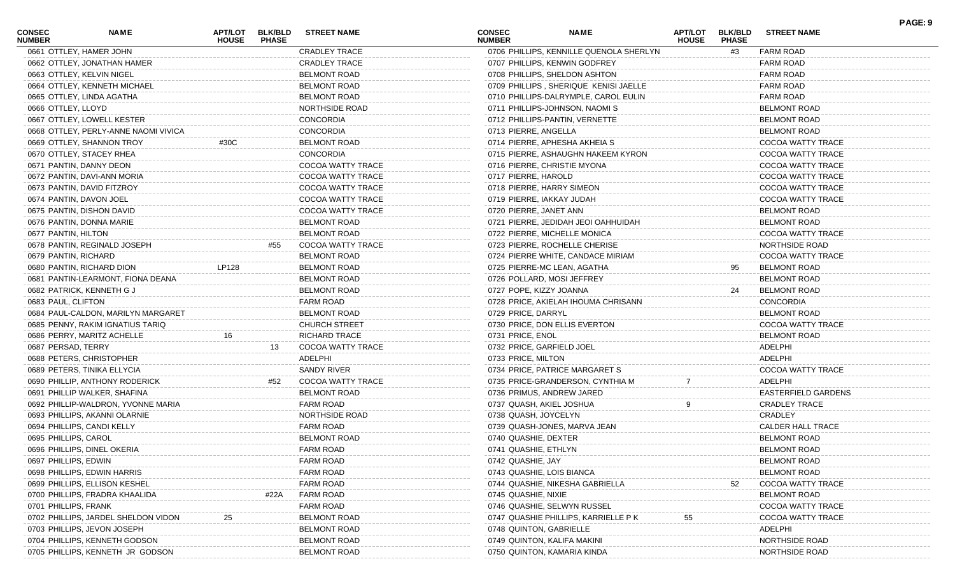| <b>CONSEC</b><br><b>NUMBER</b> | <b>NAME</b>                          | APT/LOT BLK/BLD<br><b>HOUSE</b> | <b>PHASE</b> | <b>STREET NAME</b>       | <b>CONSEC</b><br><b>NUMBER</b> | <b>NAME</b>                             | <b>APT/LOT</b><br><b>HOUSE</b> | <b>BLK/BLD</b><br><b>PHASE</b> | <b>STREET NAME</b>         | PAGE: 9 |
|--------------------------------|--------------------------------------|---------------------------------|--------------|--------------------------|--------------------------------|-----------------------------------------|--------------------------------|--------------------------------|----------------------------|---------|
|                                | 0661 OTTLEY, HAMER JOHN              |                                 |              | <b>CRADLEY TRACE</b>     |                                | 0706 PHILLIPS, KENNILLE QUENOLA SHERLYN |                                | #3                             | <b>FARM ROAD</b>           |         |
|                                | 0662 OTTLEY, JONATHAN HAMER          |                                 |              | <b>CRADLEY TRACE</b>     |                                | 0707 PHILLIPS, KENWIN GODFREY           |                                |                                | <b>FARM ROAD</b>           |         |
|                                | 0663 OTTLEY, KELVIN NIGEL            |                                 |              | BELMONT ROAD             |                                | 0708 PHILLIPS, SHELDON ASHTON           |                                |                                | <b>FARM ROAD</b>           |         |
|                                | 0664 OTTLEY, KENNETH MICHAEL         |                                 |              | <b>BELMONT ROAD</b>      |                                | 0709 PHILLIPS, SHERIQUE KENISI JAELLE   |                                |                                | <b>FARM ROAD</b>           |         |
|                                | 0665 OTTLEY, LINDA AGATHA            |                                 |              | <b>BELMONT ROAD</b>      |                                | 0710 PHILLIPS-DALRYMPLE, CAROL EULIN    |                                |                                | <b>FARM ROAD</b>           |         |
| 0666 OTTLEY, LLOYD             |                                      |                                 |              | NORTHSIDE ROAD           |                                | 0711 PHILLIPS-JOHNSON, NAOMI S          |                                |                                | <b>BELMONT ROAD</b>        |         |
|                                | 0667 OTTLEY, LOWELL KESTER           |                                 |              | <b>CONCORDIA</b>         |                                | 0712 PHILLIPS-PANTIN, VERNETTE          |                                |                                | <b>BELMONT ROAD</b>        |         |
|                                | 0668 OTTLEY, PERLY-ANNE NAOMI VIVICA |                                 |              | <b>CONCORDIA</b>         | 0713 PIERRE, ANGELLA           |                                         |                                |                                | <b>BELMONT ROAD</b>        |         |
|                                | 0669 OTTLEY, SHANNON TROY            | #30C                            |              | <b>BELMONT ROAD</b>      |                                | 0714 PIERRE, APHESHA AKHEIA S           |                                |                                | COCOA WATTY TRACE          |         |
|                                | 0670 OTTLEY, STACEY RHEA             |                                 |              | <b>CONCORDIA</b>         |                                | 0715 PIERRE, ASHAUGHN HAKEEM KYRON      |                                |                                | COCOA WATTY TRACE          |         |
|                                | 0671 PANTIN, DANNY DEON              |                                 |              | COCOA WATTY TRACE        |                                | 0716 PIERRE, CHRISTIE MYONA             |                                |                                | COCOA WATTY TRACE          |         |
|                                | 0672 PANTIN, DAVI-ANN MORIA          |                                 |              | COCOA WATTY TRACE        | 0717 PIERRE, HAROLD            |                                         |                                |                                | COCOA WATTY TRACE          |         |
|                                | 0673 PANTIN, DAVID FITZROY           |                                 |              | COCOA WATTY TRACE        |                                | 0718 PIERRE, HARRY SIMEON               |                                |                                | COCOA WATTY TRACE          |         |
|                                | 0674 PANTIN, DAVON JOEL              |                                 |              | COCOA WATTY TRACE        | 0719 PIERRE, IAKKAY JUDAH      |                                         |                                |                                | COCOA WATTY TRACE          |         |
|                                | 0675 PANTIN, DISHON DAVID            |                                 |              | <b>COCOA WATTY TRACE</b> | 0720 PIERRE, JANET ANN         |                                         |                                |                                | <b>BELMONT ROAD</b>        |         |
|                                | 0676 PANTIN, DONNA MARIE             |                                 |              | <b>BELMONT ROAD</b>      |                                | 0721 PIERRE, JEDIDAH JEOI OAHHUIDAH     |                                |                                | <b>BELMONT ROAD</b>        |         |
| 0677 PANTIN, HILTON            |                                      |                                 |              | <b>BELMONT ROAD</b>      |                                | 0722 PIERRE, MICHELLE MONICA            |                                |                                | COCOA WATTY TRACE          |         |
|                                | 0678 PANTIN, REGINALD JOSEPH         |                                 | #55          | COCOA WATTY TRACE        |                                | 0723 PIERRE, ROCHELLE CHERISE           |                                |                                | NORTHSIDE ROAD             |         |
| 0679 PANTIN, RICHARD           |                                      |                                 |              | <b>BELMONT ROAD</b>      |                                | 0724 PIERRE WHITE, CANDACE MIRIAM       |                                |                                | COCOA WATTY TRACE          |         |
|                                | 0680 PANTIN, RICHARD DION            | LP128                           |              | <b>BELMONT ROAD</b>      |                                | 0725 PIERRE-MC LEAN, AGATHA             |                                | 95                             | <b>BELMONT ROAD</b>        |         |
|                                | 0681 PANTIN-LEARMONT, FIONA DEANA    |                                 |              | <b>BELMONT ROAD</b>      |                                | 0726 POLLARD, MOSI JEFFREY              |                                |                                | <b>BELMONT ROAD</b>        |         |
|                                | 0682 PATRICK, KENNETH G J            |                                 |              | <b>BELMONT ROAD</b>      | 0727 POPE, KIZZY JOANNA        |                                         |                                | 24                             | <b>BELMONT ROAD</b>        |         |
|                                |                                      |                                 |              | <b>FARM ROAD</b>         |                                |                                         |                                |                                | <b>CONCORDIA</b>           |         |
| 0683 PAUL, CLIFTON             |                                      |                                 |              |                          |                                | 0728 PRICE, AKIELAH IHOUMA CHRISANN     |                                |                                |                            |         |
|                                | 0684 PAUL-CALDON, MARILYN MARGARET   |                                 |              | <b>BELMONT ROAD</b>      | 0729 PRICE, DARRYL             |                                         |                                |                                | <b>BELMONT ROAD</b>        |         |
|                                | 0685 PENNY, RAKIM IGNATIUS TARIQ     |                                 |              | <b>CHURCH STREET</b>     |                                | 0730 PRICE, DON ELLIS EVERTON           |                                |                                | COCOA WATTY TRACE          |         |
|                                | 0686 PERRY, MARITZ ACHELLE           | 16                              |              | <b>RICHARD TRACE</b>     | 0731 PRICE, ENOL               |                                         |                                |                                | <b>BELMONT ROAD</b>        |         |
| 0687 PERSAD, TERRY             |                                      |                                 | 13           | COCOA WATTY TRACE        | 0732 PRICE, GARFIELD JOEL      |                                         |                                |                                | ADELPHI                    |         |
|                                | 0688 PETERS, CHRISTOPHER             |                                 |              | ADELPHI                  | 0733 PRICE, MILTON             |                                         |                                |                                | ADELPHI                    |         |
|                                | 0689 PETERS, TINIKA ELLYCIA          |                                 |              | SANDY RIVER              |                                | 0734 PRICE, PATRICE MARGARET S          |                                |                                | COCOA WATTY TRACE          |         |
|                                | 0690 PHILLIP, ANTHONY RODERICK       |                                 | #52          | COCOA WATTY TRACE        |                                | 0735 PRICE-GRANDERSON, CYNTHIA M        |                                |                                | ADELPHI                    |         |
|                                | 0691 PHILLIP WALKER, SHAFINA         |                                 |              | <b>BELMONT ROAD</b>      |                                | 0736 PRIMUS, ANDREW JARED               |                                |                                | <b>EASTERFIELD GARDENS</b> |         |
|                                | 0692 PHILLIP-WALDRON, YVONNE MARIA   |                                 |              | FARM ROAD                | 0737 QUASH, AKIEL JOSHUA       |                                         |                                |                                | <b>CRADLEY TRACE</b>       |         |
|                                | 0693 PHILLIPS, AKANNI OLARNIE        |                                 |              | NORTHSIDE ROAD           | 0738 QUASH, JOYCELYN           |                                         |                                |                                | CRADLEY                    |         |
|                                | 0694 PHILLIPS, CANDI KELLY           |                                 |              | FARM ROAD                |                                | 0739 QUASH-JONES, MARVA JEAN            |                                |                                | CALDER HALL TRACE          |         |
| 0695 PHILLIPS, CAROL           |                                      |                                 |              | <b>BELMONT ROAD</b>      | 0740 QUASHIE, DEXTER           |                                         |                                |                                | <b>BELMONT ROAD</b>        |         |
|                                | 0696 PHILLIPS, DINEL OKERIA          |                                 |              | <b>FARM ROAD</b>         | 0741 QUASHIE, ETHLYN           |                                         |                                |                                | <b>BELMONT ROAD</b>        |         |
| 0697 PHILLIPS, EDWIN           |                                      |                                 |              | <b>FARM ROAD</b>         | 0742 QUASHIE, JAY              |                                         |                                |                                | <b>BELMONT ROAD</b>        |         |
|                                | 0698 PHILLIPS, EDWIN HARRIS          |                                 |              | <b>FARM ROAD</b>         | 0743 QUASHIE, LOIS BIANCA      |                                         |                                |                                | <b>BELMONT ROAD</b>        |         |
|                                | 0699 PHILLIPS, ELLISON KESHEL        |                                 |              | <b>FARM ROAD</b>         |                                | 0744 QUASHIE, NIKESHA GABRIELL          |                                | 52                             | COCOA WATTY TRACE          |         |
|                                | 0700 PHILLIPS, FRADRA KHAALIDA       |                                 | #22A         | <b>FARM ROAD</b>         | 0745 QUASHIE, NIXIE            |                                         |                                |                                | <b>BELMONT ROAD</b>        |         |
| 0701 PHILLIPS, FRANK           |                                      |                                 |              | <b>FARM ROAD</b>         |                                | 0746 QUASHIE, SELWYN RUSSEL             |                                |                                | <b>COCOA WATTY TRACE</b>   |         |
|                                | 0702 PHILLIPS, JARDEL SHELDON VIDON  |                                 |              | <b>BELMONT ROAD</b>      |                                | 0747 QUASHIE PHILLIPS, KARRIELLE P K    | 55                             |                                | COCOA WATTY TRACE          |         |
|                                | 0703 PHILLIPS, JEVON JOSEPH          |                                 |              | <b>BELMONT ROAD</b>      | 0748 QUINTON, GABRIELLE        |                                         |                                |                                | ADELPHI                    |         |
|                                | 0704 PHILLIPS, KENNETH GODSON        |                                 |              | <b>BELMONT ROAD</b>      |                                | 0749 QUINTON, KALIFA MAKINI             |                                |                                | NORTHSIDE ROAD             |         |
|                                | 0705 PHILLIPS, KENNETH JR GODSON     |                                 |              | <b>BELMONT ROAD</b>      |                                | 0750 QUINTON, KAMARIA KINDA             |                                |                                | NORTHSIDE ROAD             |         |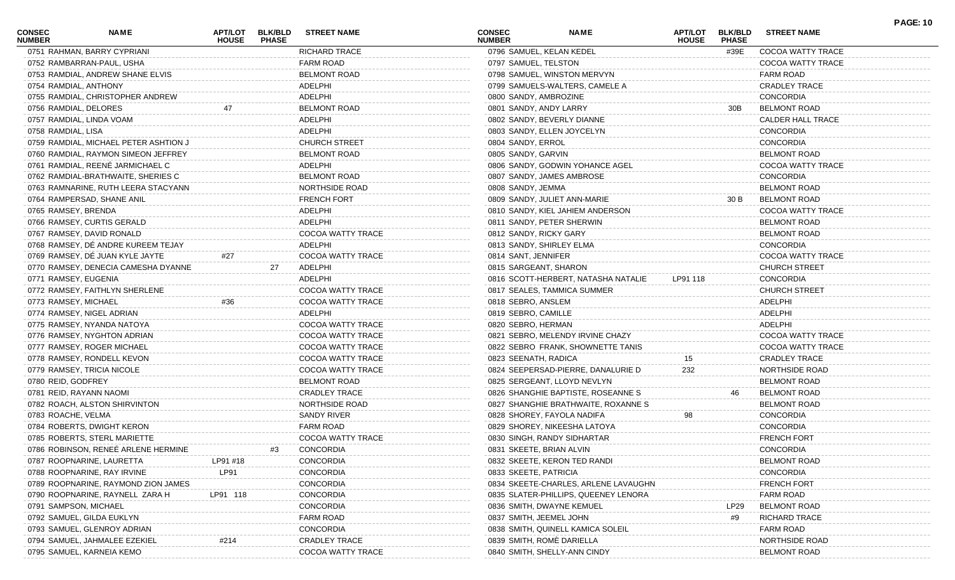| <b>CONSEC</b><br><b>NUMBER</b> | <b>NAME</b>                           | <b>APT/LOT</b><br><b>HOUSE</b> | <b>BLK/BLD</b><br><b>PHASE</b> | <b>STREET NAME</b>       | <b>CONSEC</b><br><b>NUMBER</b> | <b>NAME</b>                          | <b>APT/LOT</b><br><b>HOUSE</b> | <b>BLK/BLD</b><br><b>PHASE</b> | <b>STREET NAME</b>   | <b>PAGE: 10</b> |
|--------------------------------|---------------------------------------|--------------------------------|--------------------------------|--------------------------|--------------------------------|--------------------------------------|--------------------------------|--------------------------------|----------------------|-----------------|
|                                | 0751 RAHMAN, BARRY CYPRIANI           |                                |                                | <b>RICHARD TRACE</b>     |                                | 0796 SAMUEL, KELAN KEDEL             |                                | #39E                           | COCOA WATTY TRACE    |                 |
|                                | 0752 RAMBARRAN-PAUL, USHA             |                                |                                | FARM ROAD                | 0797 SAMUEL, TELSTON           |                                      |                                |                                | COCOA WATTY TRACE    |                 |
|                                | 0753 RAMDIAL, ANDREW SHANE ELVIS      |                                |                                | <b>BELMONT ROAD</b>      |                                | 0798 SAMUEL, WINSTON MERVYN          |                                |                                | FARM ROAD            |                 |
| 0754 RAMDIAL, ANTHONY          |                                       |                                |                                | ADELPHI                  |                                | 0799 SAMUELS-WALTERS, CAMELE A       |                                |                                | <b>CRADLEY TRACE</b> |                 |
|                                | 0755 RAMDIAL, CHRISTOPHER ANDREW      |                                |                                | ADELPHI                  | 0800 SANDY, AMBROZINE          |                                      |                                |                                | <b>CONCORDIA</b>     |                 |
| 0756 RAMDIAL, DELORES          |                                       |                                |                                | <b>BELMONT ROAD</b>      | 0801 SANDY, ANDY LARRY         |                                      |                                | 30B                            | <b>BELMONT ROAD</b>  |                 |
|                                | 0757 RAMDIAL, LINDA VOAM              |                                |                                | ADELPHI                  |                                | 0802 SANDY, BEVERLY DIANNE           |                                |                                | CALDER HALL TRACE    |                 |
| 0758 RAMDIAL, LISA             |                                       |                                |                                | ADELPHI                  |                                | 0803 SANDY, ELLEN JOYCELYN           |                                |                                | <b>CONCORDIA</b>     |                 |
|                                | 0759 RAMDIAL, MICHAEL PETER ASHTION J |                                |                                | <b>CHURCH STREET</b>     | 0804 SANDY, ERROL              |                                      |                                |                                | <b>CONCORDIA</b>     |                 |
|                                | 0760 RAMDIAL, RAYMON SIMEON JEFFREY   |                                |                                | <b>BELMONT ROAD</b>      | 0805 SANDY, GARVIN             |                                      |                                |                                | <b>BELMONT ROAD</b>  |                 |
|                                | 0761 RAMDIAL, REENÉ JARMICHAEL C      |                                |                                | ADELPHI                  |                                | 0806 SANDY, GODWIN YOHANCE AGEL      |                                |                                | COCOA WATTY TRACE    |                 |
|                                | 0762 RAMDIAL-BRATHWAITE, SHERIES C    |                                |                                | <b>BELMONT ROAD</b>      |                                | 0807 SANDY, JAMES AMBROSE            |                                |                                | <b>CONCORDIA</b>     |                 |
|                                | 0763 RAMNARINE, RUTH LEERA STACYANN   |                                |                                | NORTHSIDE ROAD           | 0808 SANDY, JEMMA              |                                      |                                |                                | <b>BELMONT ROAD</b>  |                 |
|                                | 0764 RAMPERSAD, SHANE ANIL            |                                |                                | <b>FRENCH FORT</b>       |                                | 0809 SANDY, JULIET ANN-MARIE         |                                | 30 B                           | <b>BELMONT ROAD</b>  |                 |
| 0765 RAMSEY, BRENDA            |                                       |                                |                                | ADELPHI                  |                                | 0810 SANDY, KIEL JAHIEM ANDERSON     |                                |                                | COCOA WATTY TRACE    |                 |
|                                | 0766 RAMSEY, CURTIS GERALD            |                                |                                | ADELPHI                  |                                | 0811 SANDY, PETER SHERWIN            |                                |                                | <b>BELMONT ROAD</b>  |                 |
|                                | 0767 RAMSEY, DAVID RONALD             |                                |                                | <b>COCOA WATTY TRACE</b> | 0812 SANDY, RICKY GARY         |                                      |                                |                                | <b>BELMONT ROAD</b>  |                 |
|                                | 0768 RAMSEY, DÉ ANDRE KUREEM TEJAY    |                                |                                | ADELPHI                  |                                | 0813 SANDY, SHIRLEY ELMA             |                                |                                | <b>CONCORDIA</b>     |                 |
|                                | 0769 RAMSEY, DÉ JUAN KYLE JAYTE       | #27                            |                                | COCOA WATTY TRACE        | 0814 SANT, JENNIFER            |                                      |                                |                                | COCOA WATTY TRACE    |                 |
|                                | 0770 RAMSEY, DENECIA CAMESHA DYANNE   |                                | 27                             | ADELPHI                  | 0815 SARGEANT, SHARON          |                                      |                                |                                | <b>CHURCH STREET</b> |                 |
| 0771 RAMSEY, EUGENIA           |                                       |                                |                                | ADELPHI                  |                                | 0816 SCOTT-HERBERT, NATASHA NATALIE  | LP91 118                       |                                | <b>CONCORDIA</b>     |                 |
|                                | 0772 RAMSEY, FAITHLYN SHERLENE        |                                |                                | COCOA WATTY TRACE        |                                | 0817 SEALES, TAMMICA SUMMER          |                                |                                | <b>CHURCH STREET</b> |                 |
| 0773 RAMSEY, MICHAEL           |                                       | #36                            |                                | COCOA WATTY TRACE        | 0818 SEBRO, ANSLEM             |                                      |                                |                                | ADELPHI              |                 |
|                                | 0774 RAMSEY, NIGEL ADRIAN             |                                |                                | ADELPHI                  | 0819 SEBRO, CAMILLE            |                                      |                                |                                | ADELPHI              |                 |
|                                | 0775 RAMSEY, NYANDA NATOYA            |                                |                                | COCOA WATTY TRACE        | 0820 SEBRO, HERMAN             |                                      |                                |                                | ADELPHI              |                 |
|                                | 0776 RAMSEY, NYGHTON ADRIAN           |                                |                                | COCOA WATTY TRACE        |                                | 0821 SEBRO, MELENDY IRVINE CHAZY     |                                |                                | COCOA WATTY TRACE    |                 |
|                                | 0777 RAMSEY, ROGER MICHAEL            |                                |                                | COCOA WATTY TRACE        |                                | 0822 SEBRO FRANK, SHOWNETTE TANIS    |                                |                                | COCOA WATTY TRACE    |                 |
|                                | 0778 RAMSEY, RONDELL KEVON            |                                |                                | COCOA WATTY TRACE        | 0823 SEENATH, RADICA           |                                      | 15                             |                                | <b>CRADLEY TRACE</b> |                 |
|                                | 0779 RAMSEY, TRICIA NICOLE            |                                |                                | COCOA WATTY TRACE        |                                | 0824 SEEPERSAD-PIERRE, DANALURIE D   | 232                            |                                | NORTHSIDE ROAD       |                 |
| 0780 REID, GODFREY             |                                       |                                |                                | <b>BELMONT ROAD</b>      |                                | 0825 SERGEANT, LLOYD NEVLYN          |                                |                                | <b>BELMONT ROAD</b>  |                 |
|                                | 0781 REID, RAYANN NAOMI               |                                |                                | <b>CRADLEY TRACE</b>     |                                | 0826 SHANGHIE BAPTISTE, ROSEANNE S   |                                | 46                             | <b>BELMONT ROAD</b>  |                 |
|                                | 0782 ROACH, ALSTON SHIRVINTON         |                                |                                | NORTHSIDE ROAD           |                                |                                      |                                |                                | <b>BELMONT ROAD</b>  |                 |
| 0783 ROACHE, VELMA             |                                       |                                |                                | SANDY RIVER              |                                | 0827 SHANGHIE BRATHWAITE, ROXANNE S  |                                |                                |                      |                 |
|                                |                                       |                                |                                |                          |                                | 0828 SHOREY, FAYOLA NADIFA           | 98                             |                                | <b>CONCORDIA</b>     |                 |
|                                | 0784 ROBERTS, DWIGHT KERON            |                                |                                | FARM ROAD                |                                | 0829 SHOREY, NIKEESHA LATOYA         |                                |                                | <b>CONCORDIA</b>     |                 |
|                                | 0785 ROBERTS, STERL MARIETTE          |                                |                                | COCOA WATTY TRACE        |                                | 0830 SINGH, RANDY SIDHARTAR          |                                |                                | <b>FRENCH FORT</b>   |                 |
|                                | 0786 ROBINSON, RENEÉ ARLENE HERMINE   |                                | #3                             | <b>CONCORDIA</b>         | 0831 SKEETE, BRIAN ALVIN       |                                      |                                |                                | <b>CONCORDIA</b>     |                 |
|                                | 0787 ROOPNARINE, LAURETTA             | LP91 #18                       |                                | <b>CONCORDIA</b>         |                                | 0832 SKEETE, KERON TED RAND          |                                |                                | <b>BELMONT ROAD</b>  |                 |
|                                | 0788 ROOPNARINE, RAY IRVINE           | LP91                           |                                | <b>CONCORDIA</b>         | 0833 SKEETE, PATRICIA          |                                      |                                |                                | CONCORDIA            |                 |
|                                | 0789 ROOPNARINE, RAYMOND ZION JAMES   |                                |                                | CONCORDIA                |                                | 0834 SKEETE-CHARLES, ARLENE LAVAUGHN |                                |                                | <b>FRENCH FORT</b>   |                 |
|                                | 0790 ROOPNARINE, RAYNELL ZARA H       | LP91 118                       |                                | CONCORDIA                |                                | 0835 SLATER-PHILLIPS, QUEENEY LENORA |                                |                                | <b>FARM ROAD</b>     |                 |
| 0791 SAMPSON, MICHAEL          |                                       |                                |                                | CONCORDIA                |                                | 0836 SMITH, DWAYNE KEMUEL            |                                | LP29                           | <b>BELMONT ROAD</b>  |                 |
|                                | 0792 SAMUEL, GILDA EUKLYN             |                                |                                | <b>FARM ROAD</b>         | 0837 SMITH, JEEMEL JOHN        |                                      |                                | #9                             | <b>RICHARD TRACE</b> |                 |
|                                | 0793 SAMUEL, GLENROY ADRIAN           |                                |                                | CONCORDIA                |                                | 0838 SMITH, QUINELL KAMICA SOLEII    |                                |                                | <b>FARM ROAD</b>     |                 |
|                                | 0794 SAMUEL, JAHMALEE EZEKIEL         | #214                           |                                | <b>CRADLEY TRACE</b>     |                                | 0839 SMITH, ROMÈ DARIELLA            |                                |                                | NORTHSIDE ROAD       |                 |
|                                | 0795 SAMUEL, KARNEIA KEMO             |                                |                                | COCOA WATTY TRACE        |                                | 0840 SMITH, SHELLY-ANN CINDY         |                                |                                | <b>BELMONT ROAD</b>  |                 |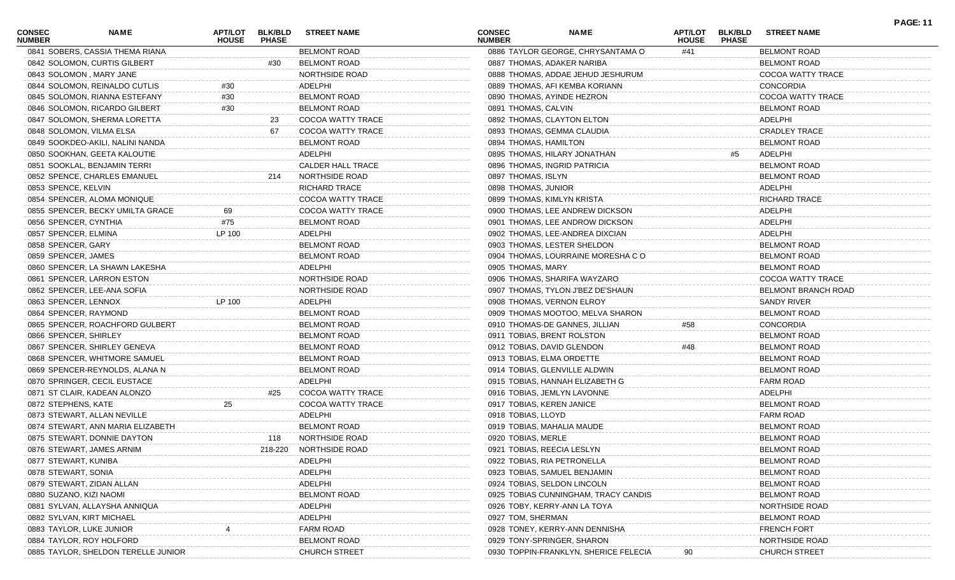| <b>CONSEC</b><br><b>NUMBER</b> | NAME                                | APT/LOT<br><b>HOUSE</b> | <b>BLK/BLD</b><br><b>PHASE</b> | <b>STREET NAME</b>       | <b>CONSEC</b><br><b>NUMBER</b> | <b>NAME</b>                           | APT/LOT<br><b>HOUSE</b> | <b>BLK/BLD</b><br><b>PHASE</b> | <b>STREET NAME</b>   | <b>PAGE: 11</b> |
|--------------------------------|-------------------------------------|-------------------------|--------------------------------|--------------------------|--------------------------------|---------------------------------------|-------------------------|--------------------------------|----------------------|-----------------|
|                                | 0841 SOBERS, CASSIA THEMA RIANA     |                         |                                | <b>BELMONT ROAD</b>      |                                | 0886 TAYLOR GEORGE, CHRYSANTAMA O     | #41                     |                                | <b>BELMONT ROAD</b>  |                 |
|                                | 0842 SOLOMON, CURTIS GILBERT        |                         | #30                            | <b>BELMONT ROAD</b>      |                                | 0887 THOMAS, ADAKER NARIBA            |                         |                                | <b>BELMONT ROAD</b>  |                 |
|                                | 0843 SOLOMON, MARY JANE             |                         |                                | NORTHSIDE ROAD           |                                | 0888 THOMAS, ADDAE JEHUD JESHURUM     |                         |                                | COCOA WATTY TRACE    |                 |
|                                | 0844 SOLOMON, REINALDO CUTLIS       | #30                     |                                | ADELPHI                  |                                | 0889 THOMAS, AFI KEMBA KORIANN        |                         |                                | <b>CONCORDIA</b>     |                 |
|                                | 0845 SOLOMON, RIANNA ESTEFANY       | #30                     |                                | <b>BELMONT ROAD</b>      |                                | 0890 THOMAS, AYINDE HEZRON            |                         |                                | COCOA WATTY TRACE    |                 |
|                                | 0846 SOLOMON, RICARDO GILBERT       | #30                     |                                | <b>BELMONT ROAD</b>      | 0891 THOMAS, CALVIN            |                                       |                         |                                | <b>BELMONT ROAD</b>  |                 |
|                                | 0847 SOLOMON, SHERMA LORETTA        |                         | 23                             | COCOA WATTY TRACE        |                                | 0892 THOMAS, CLAYTON ELTON            |                         |                                | ADELPHI              |                 |
|                                | 0848 SOLOMON, VILMA ELSA            |                         | 67                             | COCOA WATTY TRACE        |                                | 0893 THOMAS, GEMMA CLAUDIA            |                         |                                | <b>CRADLEY TRACE</b> |                 |
|                                | 0849 SOOKDEO-AKILI, NALINI NANDA    |                         |                                | <b>BELMONT ROAD</b>      | 0894 THOMAS, HAMILTON          |                                       |                         |                                | <b>BELMONT ROAD</b>  |                 |
|                                | 0850 SOOKHAN, GEETA KALOUTIE        |                         |                                | ADELPHI                  |                                | 0895 THOMAS, HILARY JONATHAN          |                         | #5                             | ADELPHI              |                 |
|                                | 0851 SOOKLAL, BENJAMIN TERRI        |                         |                                | <b>CALDER HALL TRACE</b> |                                | 0896 THOMAS, INGRID PATRICIA          |                         |                                | <b>BELMONT ROAD</b>  |                 |
|                                | 0852 SPENCE, CHARLES EMANUEL        |                         | 214                            | NORTHSIDE ROAD           | 0897 THOMAS, ISLYN             |                                       |                         |                                | <b>BELMONT ROAD</b>  |                 |
| 0853 SPENCE, KELVIN            |                                     |                         |                                | <b>RICHARD TRACE</b>     | 0898 THOMAS, JUNIOR            |                                       |                         |                                | ADELPHI              |                 |
|                                | 0854 SPENCER, ALOMA MONIQUE         |                         |                                | COCOA WATTY TRACE        | 0899 THOMAS, KIMLYN KRISTA     |                                       |                         |                                | <b>RICHARD TRACE</b> |                 |
|                                | 0855 SPENCER, BECKY UMILTA GRACE    | 69                      |                                | COCOA WATTY TRACE        |                                | 0900 THOMAS, LEE ANDREW DICKSON       |                         |                                | ADELPHI              |                 |
| 0856 SPENCER, CYNTHIA          |                                     | #75                     |                                | <b>BELMONT ROAD</b>      |                                | 0901 THOMAS, LEE ANDROW DICKSON       |                         |                                | ADELPHI              |                 |
| 0857 SPENCER, ELMINA           |                                     | LP 100                  |                                | ADELPHI                  |                                | 0902 THOMAS, LEE-ANDREA DIXCIAN       |                         |                                | ADELPHI              |                 |
| 0858 SPENCER, GARY             |                                     |                         |                                | <b>BELMONT ROAD</b>      |                                | 0903 THOMAS, LESTER SHELDON           |                         |                                | <b>BELMONT ROAD</b>  |                 |
| 0859 SPENCER, JAMES            |                                     |                         |                                | <b>BELMONT ROAD</b>      |                                | 0904 THOMAS, LOURRAINE MORESHA CO     |                         |                                | <b>BELMONT ROAD</b>  |                 |
|                                | 0860 SPENCER, LA SHAWN LAKESHA      |                         |                                | ADELPHI                  | 0905 THOMAS, MARY              |                                       |                         |                                | <b>BELMONT ROAD</b>  |                 |
|                                | 0861 SPENCER, LARRON ESTON          |                         |                                | NORTHSIDE ROAD           |                                | 0906 THOMAS, SHARIFA WAYZARO          |                         |                                | COCOA WATTY TRACE    |                 |
|                                | 0862 SPENCER, LEE-ANA SOFIA         |                         |                                | NORTHSIDE ROAD           |                                | 0907 THOMAS, TYLON J'BEZ DE'SHAUN     |                         |                                | BELMONT BRANCH ROAD  |                 |
| 0863 SPENCER, LENNOX           |                                     | LP 100                  |                                | ADELPHI                  |                                | 0908 THOMAS, VERNON ELROY             |                         |                                | SANDY RIVER          |                 |
| 0864 SPENCER, RAYMOND          |                                     |                         |                                | <b>BELMONT ROAD</b>      |                                | 0909 THOMAS MOOTOO, MELVA SHARON      |                         |                                | <b>BELMONT ROAD</b>  |                 |
|                                | 0865 SPENCER, ROACHFORD GULBERT     |                         |                                | <b>BELMONT ROAD</b>      |                                | 0910 THOMAS-DE GANNES, JILLIAN        | #58                     |                                | <b>CONCORDIA</b>     |                 |
| 0866 SPENCER, SHIRLEY          |                                     |                         |                                | <b>BELMONT ROAD</b>      |                                | 0911 TOBIAS, BRENT ROLSTON            |                         |                                | <b>BELMONT ROAD</b>  |                 |
|                                | 0867 SPENCER, SHIRLEY GENEVA        |                         |                                | <b>BELMONT ROAD</b>      |                                | 0912 TOBIAS, DAVID GLENDON            | #48                     |                                | <b>BELMONT ROAD</b>  |                 |
|                                | 0868 SPENCER, WHITMORE SAMUEL       |                         |                                | <b>BELMONT ROAD</b>      | 0913 TOBIAS, ELMA ORDETTE      |                                       |                         |                                | <b>BELMONT ROAD</b>  |                 |
|                                |                                     |                         |                                | <b>BELMONT ROAD</b>      |                                |                                       |                         |                                |                      |                 |
|                                | 0869 SPENCER-REYNOLDS, ALANA N      |                         |                                |                          |                                | 0914 TOBIAS, GLENVILLE ALDWIN         |                         |                                | <b>BELMONT ROAD</b>  |                 |
|                                | 0870 SPRINGER, CECIL EUSTACE        |                         |                                | ADELPHI                  |                                | 0915 TOBIAS, HANNAH ELIZABETH G       |                         |                                | <b>FARM ROAD</b>     |                 |
|                                | 0871 ST CLAIR, KADEAN ALONZO        |                         | #25                            | COCOA WATTY TRACE        |                                | 0916 TOBIAS, JEMLYN LAVONNE           |                         |                                | ADELPHI              |                 |
| 0872 STEPHENS, KATE            |                                     | 25                      |                                | <b>COCOA WATTY TRACE</b> | 0917 TOBIAS, KEREN JANICE      |                                       |                         |                                | <b>BELMONT ROAD</b>  |                 |
|                                | 0873 STEWART, ALLAN NEVILLE         |                         |                                | ADELPHI                  | 0918 TOBIAS, LLOYD             |                                       |                         |                                | FARM ROAD            |                 |
|                                | 0874 STEWART, ANN MARIA ELIZABETH   |                         |                                | <b>BELMONT ROAD</b>      | 0919 TOBIAS, MAHALIA MAUDE     |                                       |                         |                                | <b>BELMONT ROAD</b>  |                 |
|                                | 0875 STEWART, DONNIE DAYTON         |                         | 118                            | NORTHSIDE ROAD           | 0920 TOBIAS, MERLE             |                                       |                         |                                | <b>BELMONT ROAD</b>  |                 |
|                                | 0876 STEWART, JAMES ARNIM           |                         | 218-220                        | NORTHSIDE ROAD           | 0921 TOBIAS, REECIA LESLYN     |                                       |                         |                                | <b>BELMONT ROAD</b>  |                 |
| 0877 STEWART, KUNIBA           |                                     |                         |                                | ADELPHI                  | 0922 TOBIAS, RIA PETRONELLA    |                                       |                         |                                | <b>BELMONT ROAD</b>  |                 |
| 0878 STEWART, SONIA            |                                     |                         |                                | ADELPHI                  |                                | 0923 TOBIAS, SAMUEL BENJAMIN          |                         |                                | <b>BELMONT ROAD</b>  |                 |
|                                | 0879 STEWART, ZIDAN ALLAN           |                         |                                | ADELPHI                  |                                | 0924 TOBIAS, SELDON LINCOLN           |                         |                                | <b>BELMONT ROAD</b>  |                 |
| 0880 SUZANO, KIZI NAOMI        |                                     |                         |                                | <b>BELMONT ROAD</b>      |                                | 0925 TOBIAS CUNNINGHAM, TRACY CANDIS  |                         |                                | <b>BELMONT ROAD</b>  |                 |
|                                | 0881 SYLVAN, ALLAYSHA ANNIQUA       |                         |                                | ADELPHI                  |                                | 0926 TOBY, KERRY-ANN LA TOYA          |                         |                                | NORTHSIDE ROAD       |                 |
|                                | 0882 SYLVAN, KIRT MICHAEL           |                         |                                | ADELPHI                  | 0927 TOM, SHERMAN              |                                       |                         |                                | <b>BELMONT ROAD</b>  |                 |
|                                | 0883 TAYLOR, LUKE JUNIOR            |                         |                                | <b>FARM ROAD</b>         |                                | 0928 TONEY, KERRY-ANN DENNISHA        |                         |                                | <b>FRENCH FORT</b>   |                 |
|                                | 0884 TAYLOR, ROY HOLFORD            |                         |                                | <b>BELMONT ROAD</b>      |                                | 0929 TONY-SPRINGER, SHARON            |                         |                                | NORTHSIDE ROAD       |                 |
|                                | 0885 TAYLOR, SHELDON TERELLE JUNIOR |                         |                                | <b>CHURCH STREET</b>     |                                | 0930 TOPPIN-FRANKLYN, SHERICE FELECIA |                         |                                | <b>CHURCH STREET</b> |                 |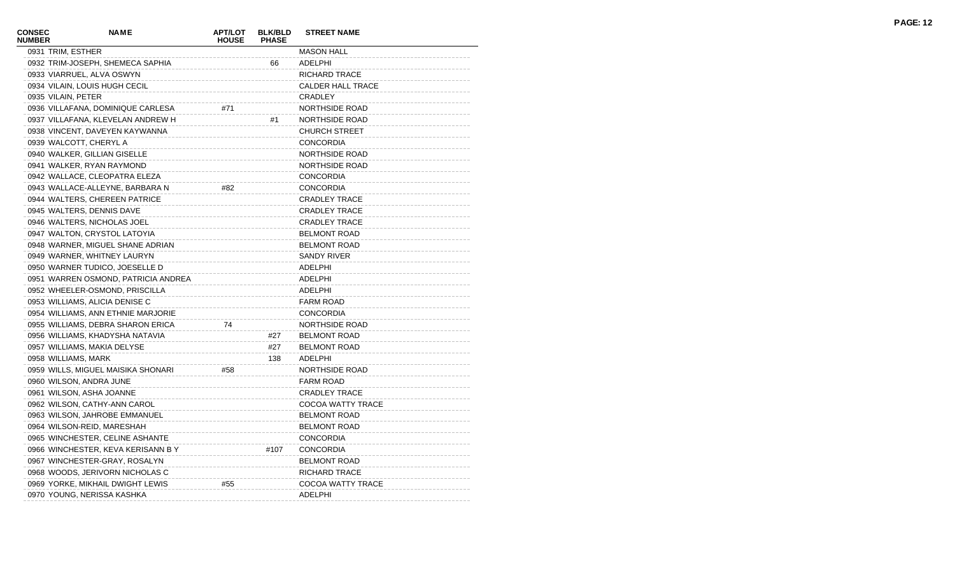| <b>CONSEC</b><br><b>NUMBER</b> | <b>NAME</b>                         | <b>APT/LOT</b><br><b>HOUSE</b> | <b>BLK/BLD</b><br><b>PHASE</b> | <b>STREET NAME</b>       |
|--------------------------------|-------------------------------------|--------------------------------|--------------------------------|--------------------------|
|                                | 0931 TRIM, ESTHER                   |                                |                                | <b>MASON HALL</b>        |
|                                | 0932 TRIM-JOSEPH, SHEMECA SAPHIA    |                                | 66                             | <b>ADELPHI</b>           |
|                                | 0933 VIARRUEL, ALVA OSWYN           |                                |                                | RICHARD TRACE            |
|                                | 0934 VILAIN, LOUIS HUGH CECIL       |                                |                                | <b>CALDER HALL TRACE</b> |
|                                | 0935 VILAIN, PETER                  |                                |                                | <b>CRADLEY</b>           |
|                                | 0936 VILLAFANA, DOMINIQUE CARLESA   | #71                            |                                | NORTHSIDE ROAD           |
|                                | 0937 VILLAFANA, KLEVELAN ANDREW H   |                                | #1                             | NORTHSIDE ROAD           |
|                                | 0938 VINCENT, DAVEYEN KAYWANNA      |                                |                                | <b>CHURCH STREET</b>     |
|                                | 0939 WALCOTT, CHERYL A              |                                |                                | <b>CONCORDIA</b>         |
|                                | 0940 WALKER, GILLIAN GISELLE        |                                |                                | NORTHSIDE ROAD           |
|                                | 0941 WALKER, RYAN RAYMOND           |                                |                                | NORTHSIDE ROAD           |
|                                | 0942 WALLACE, CLEOPATRA ELEZA       |                                |                                | <b>CONCORDIA</b>         |
|                                | 0943 WALLACE-ALLEYNE, BARBARA N     | #82                            |                                | <b>CONCORDIA</b>         |
|                                | 0944 WALTERS, CHEREEN PATRICE       |                                |                                | <b>CRADLEY TRACE</b>     |
|                                | 0945 WALTERS, DENNIS DAVE           |                                |                                | <b>CRADLEY TRACE</b>     |
|                                | 0946 WALTERS, NICHOLAS JOEL         |                                |                                | <b>CRADLEY TRACE</b>     |
|                                | 0947 WALTON, CRYSTOL LATOYIA        |                                |                                | <b>BELMONT ROAD</b>      |
|                                | 0948 WARNER, MIGUEL SHANE ADRIAN    |                                |                                | <b>BELMONT ROAD</b>      |
|                                | 0949 WARNER, WHITNEY LAURYN         |                                |                                | <b>SANDY RIVER</b>       |
|                                | 0950 WARNER TUDICO, JOESELLE D      |                                |                                | ADELPHI                  |
|                                | 0951 WARREN OSMOND, PATRICIA ANDREA |                                |                                | ADELPHI                  |
|                                | 0952 WHEELER-OSMOND, PRISCILLA      |                                |                                | ADELPHI                  |
|                                | 0953 WILLIAMS, ALICIA DENISE C      |                                |                                | <b>FARM ROAD</b>         |
|                                | 0954 WILLIAMS, ANN ETHNIE MARJORIE  |                                |                                | <b>CONCORDIA</b>         |
|                                | 0955 WILLIAMS, DEBRA SHARON ERICA   | 74                             |                                | NORTHSIDE ROAD           |
|                                | 0956 WILLIAMS, KHADYSHA NATAVIA     |                                | #27                            | <b>BELMONT ROAD</b>      |
|                                | 0957 WILLIAMS, MAKIA DELYSE         |                                | #27                            | <b>BELMONT ROAD</b>      |
|                                | 0958 WILLIAMS, MARK                 |                                | 138                            | ADELPHI                  |
|                                | 0959 WILLS, MIGUEL MAISIKA SHONARI  | #58                            |                                | NORTHSIDE ROAD           |
|                                | 0960 WILSON, ANDRA JUNE             |                                |                                | <b>FARM ROAD</b>         |
|                                | 0961 WILSON, ASHA JOANNE            |                                |                                | <b>CRADLEY TRACE</b>     |
|                                | 0962 WILSON, CATHY-ANN CAROL        |                                |                                | COCOA WATTY TRACE        |
|                                | 0963 WILSON, JAHROBE EMMANUEL       |                                |                                | <b>BELMONT ROAD</b>      |
|                                | 0964 WILSON-REID, MARESHAH          |                                |                                | <b>BELMONT ROAD</b>      |
|                                | 0965 WINCHESTER, CELINE ASHANTE     |                                |                                | <b>CONCORDIA</b>         |
|                                | 0966 WINCHESTER, KEVA KERISANN BY   |                                | #107                           | <b>CONCORDIA</b>         |
|                                | 0967 WINCHESTER-GRAY, ROSALYN       |                                |                                | <b>BELMONT ROAD</b>      |
|                                | 0968 WOODS, JERIVORN NICHOLAS C     |                                |                                | RICHARD TRACE            |
|                                | 0969 YORKE, MIKHAIL DWIGHT LEWIS    | #55                            |                                | <b>COCOA WATTY TRACE</b> |
|                                | 0970 YOUNG, NERISSA KASHKA          |                                |                                | <b>ADELPHI</b>           |
|                                |                                     |                                |                                |                          |